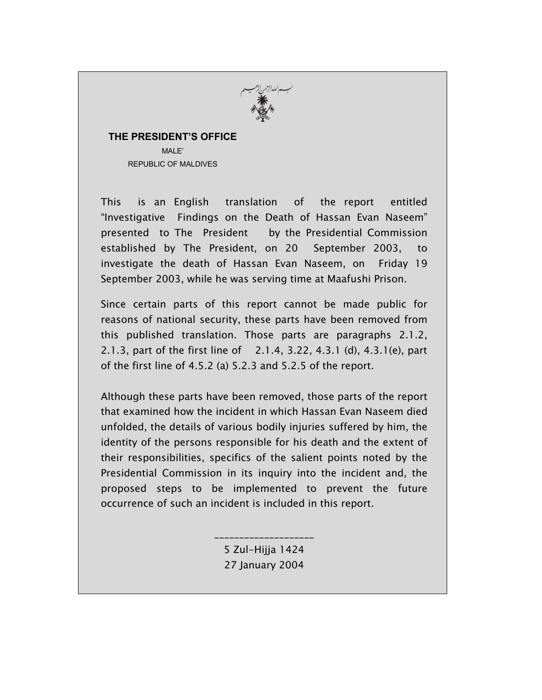

## **THE PRESIDENT'S OFFICE** MALE<sup>'</sup>

REPUBLIC OF MALDIVES

This is an English translation of the report entitled "Investigative Findings on the Death of Hassan Evan Naseem" presented to The President by the Presidential Commission established by The President, on 20 September 2003, to investigate the death of Hassan Evan Naseem, on Friday 19 September 2003, while he was serving time at Maafushi Prison.

Since certain parts of this report cannot be made public for reasons of national security, these parts have been removed from this published translation. Those parts are paragraphs 2.1.2, 2.1.3, part of the first line of 2.1.4, 3.22, 4.3.1 (d), 4.3.1(e), part of the first line of 4.5.2 (a) 5.2.3 and 5.2.5 of the report.

Although these parts have been removed, those parts of the report that examined how the incident in which Hassan Evan Naseem died unfolded, the details of various bodily injuries suffered by him, the identity of the persons responsible for his death and the extent of their responsibilities, specifics of the salient points noted by the Presidential Commission in its inquiry into the incident and, the proposed steps to be implemented to prevent the future occurrence of such an incident is included in this report.

> \_\_\_\_\_\_\_\_\_\_\_\_\_\_\_\_\_\_\_\_ 5 Zul-Hijja 1424 27 January 2004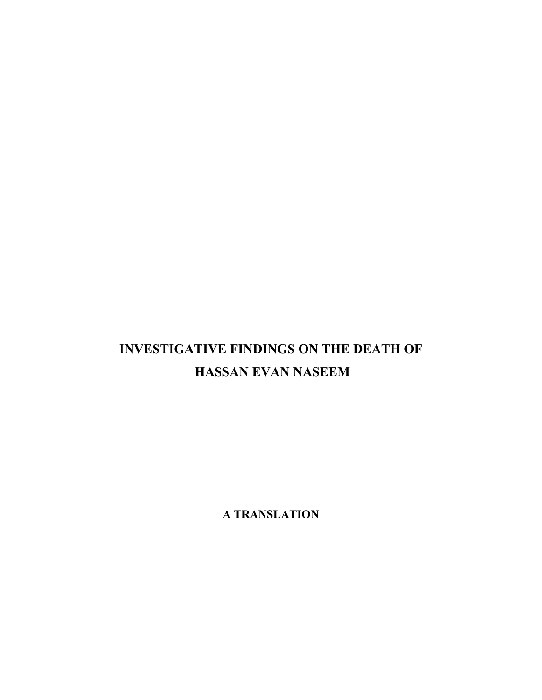# **INVESTIGATIVE FINDINGS ON THE DEATH OF HASSAN EVAN NASEEM**

**A TRANSLATION**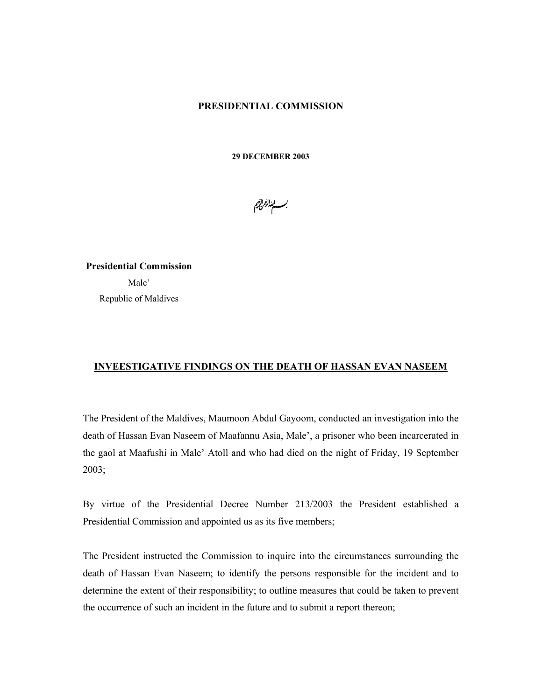#### **PRESIDENTIAL COMMISSION**

**29 DECEMBER 2003** 

بــــابنا*لزالج*<br>.

**Presidential Commission**  Male' Republic of Maldives

## **INVEESTIGATIVE FINDINGS ON THE DEATH OF HASSAN EVAN NASEEM**

The President of the Maldives, Maumoon Abdul Gayoom, conducted an investigation into the death of Hassan Evan Naseem of Maafannu Asia, Male', a prisoner who been incarcerated in the gaol at Maafushi in Male' Atoll and who had died on the night of Friday, 19 September 2003;

By virtue of the Presidential Decree Number 213/2003 the President established a Presidential Commission and appointed us as its five members;

The President instructed the Commission to inquire into the circumstances surrounding the death of Hassan Evan Naseem; to identify the persons responsible for the incident and to determine the extent of their responsibility; to outline measures that could be taken to prevent the occurrence of such an incident in the future and to submit a report thereon;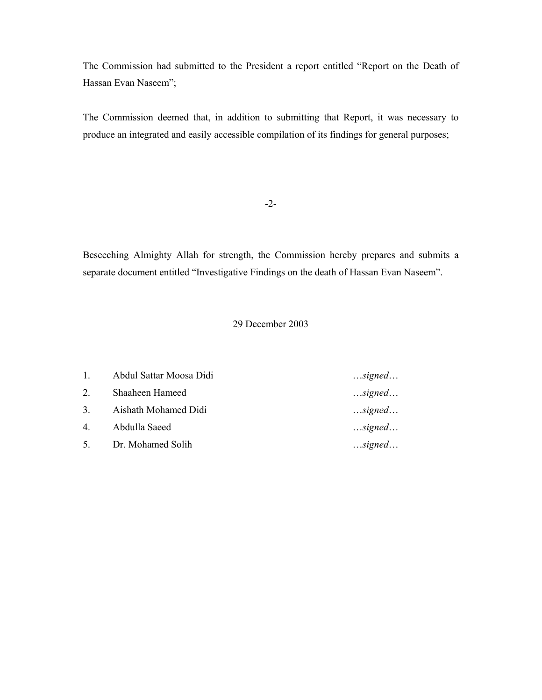The Commission had submitted to the President a report entitled "Report on the Death of Hassan Evan Naseem";

The Commission deemed that, in addition to submitting that Report, it was necessary to produce an integrated and easily accessible compilation of its findings for general purposes;

-2-

Beseeching Almighty Allah for strength, the Commission hereby prepares and submits a separate document entitled "Investigative Findings on the death of Hassan Evan Naseem".

## 29 December 2003

| $1 \quad \cdots$ | Abdul Sattar Moosa Didi | $$ signed |
|------------------|-------------------------|-----------|
| 2.               | Shaaheen Hameed         | $$ signed |
| 3.               | Aishath Mohamed Didi    | $$ signed |
| 4.               | Abdulla Saeed           | $$ signed |
| 5.               | Dr. Mohamed Solih       | $$ signed |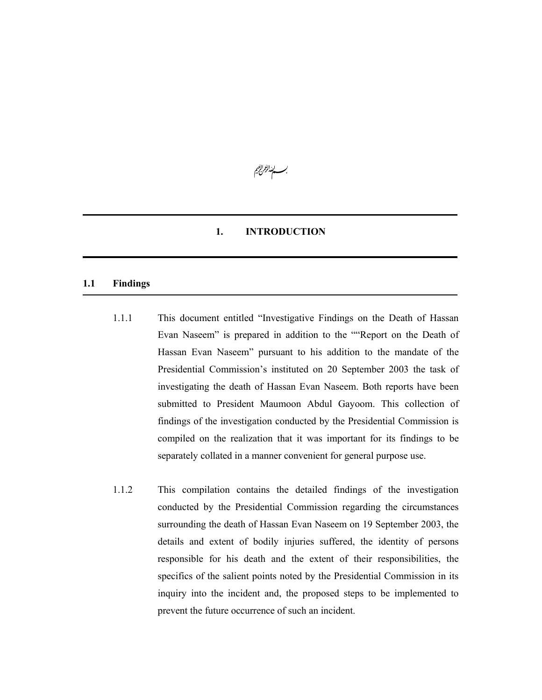

#### **1. INTRODUCTION**

#### **1.1 Findings**

- 1.1.1 This document entitled "Investigative Findings on the Death of Hassan Evan Naseem" is prepared in addition to the ""Report on the Death of Hassan Evan Naseem" pursuant to his addition to the mandate of the Presidential Commission's instituted on 20 September 2003 the task of investigating the death of Hassan Evan Naseem. Both reports have been submitted to President Maumoon Abdul Gayoom. This collection of findings of the investigation conducted by the Presidential Commission is compiled on the realization that it was important for its findings to be separately collated in a manner convenient for general purpose use.
- 1.1.2 This compilation contains the detailed findings of the investigation conducted by the Presidential Commission regarding the circumstances surrounding the death of Hassan Evan Naseem on 19 September 2003, the details and extent of bodily injuries suffered, the identity of persons responsible for his death and the extent of their responsibilities, the specifics of the salient points noted by the Presidential Commission in its inquiry into the incident and, the proposed steps to be implemented to prevent the future occurrence of such an incident.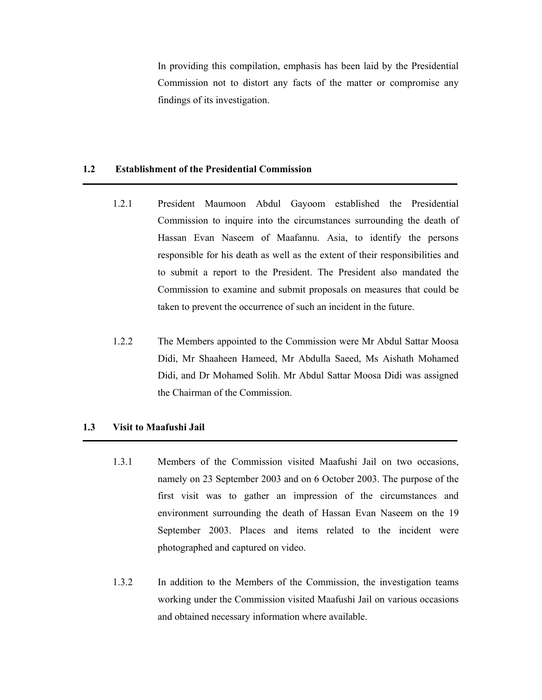In providing this compilation, emphasis has been laid by the Presidential Commission not to distort any facts of the matter or compromise any findings of its investigation.

#### **1.2 Establishment of the Presidential Commission**

- 1.2.1 President Maumoon Abdul Gayoom established the Presidential Commission to inquire into the circumstances surrounding the death of Hassan Evan Naseem of Maafannu. Asia, to identify the persons responsible for his death as well as the extent of their responsibilities and to submit a report to the President. The President also mandated the Commission to examine and submit proposals on measures that could be taken to prevent the occurrence of such an incident in the future.
- 1.2.2 The Members appointed to the Commission were Mr Abdul Sattar Moosa Didi, Mr Shaaheen Hameed, Mr Abdulla Saeed, Ms Aishath Mohamed Didi, and Dr Mohamed Solih. Mr Abdul Sattar Moosa Didi was assigned the Chairman of the Commission.

## **1.3 Visit to Maafushi Jail**

- 1.3.1 Members of the Commission visited Maafushi Jail on two occasions, namely on 23 September 2003 and on 6 October 2003. The purpose of the first visit was to gather an impression of the circumstances and environment surrounding the death of Hassan Evan Naseem on the 19 September 2003. Places and items related to the incident were photographed and captured on video.
- 1.3.2 In addition to the Members of the Commission, the investigation teams working under the Commission visited Maafushi Jail on various occasions and obtained necessary information where available.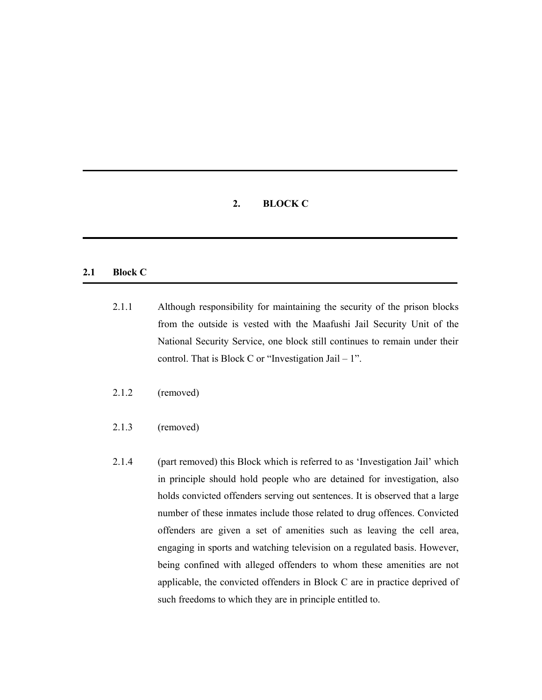## **2. BLOCK C**

## **2.1 Block C**

- 2.1.1 Although responsibility for maintaining the security of the prison blocks from the outside is vested with the Maafushi Jail Security Unit of the National Security Service, one block still continues to remain under their control. That is Block C or "Investigation Jail  $-1$ ".
- 2.1.2 (removed)
- 2.1.3 (removed)
- 2.1.4 (part removed) this Block which is referred to as 'Investigation Jail' which in principle should hold people who are detained for investigation, also holds convicted offenders serving out sentences. It is observed that a large number of these inmates include those related to drug offences. Convicted offenders are given a set of amenities such as leaving the cell area, engaging in sports and watching television on a regulated basis. However, being confined with alleged offenders to whom these amenities are not applicable, the convicted offenders in Block C are in practice deprived of such freedoms to which they are in principle entitled to.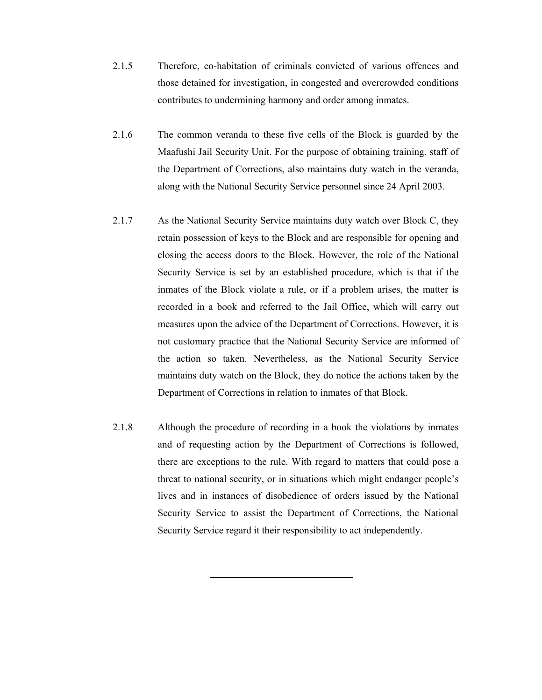- 2.1.5 Therefore, co-habitation of criminals convicted of various offences and those detained for investigation, in congested and overcrowded conditions contributes to undermining harmony and order among inmates.
- 2.1.6 The common veranda to these five cells of the Block is guarded by the Maafushi Jail Security Unit. For the purpose of obtaining training, staff of the Department of Corrections, also maintains duty watch in the veranda, along with the National Security Service personnel since 24 April 2003.
- 2.1.7 As the National Security Service maintains duty watch over Block C, they retain possession of keys to the Block and are responsible for opening and closing the access doors to the Block. However, the role of the National Security Service is set by an established procedure, which is that if the inmates of the Block violate a rule, or if a problem arises, the matter is recorded in a book and referred to the Jail Office, which will carry out measures upon the advice of the Department of Corrections. However, it is not customary practice that the National Security Service are informed of the action so taken. Nevertheless, as the National Security Service maintains duty watch on the Block, they do notice the actions taken by the Department of Corrections in relation to inmates of that Block.
- 2.1.8 Although the procedure of recording in a book the violations by inmates and of requesting action by the Department of Corrections is followed, there are exceptions to the rule. With regard to matters that could pose a threat to national security, or in situations which might endanger people's lives and in instances of disobedience of orders issued by the National Security Service to assist the Department of Corrections, the National Security Service regard it their responsibility to act independently.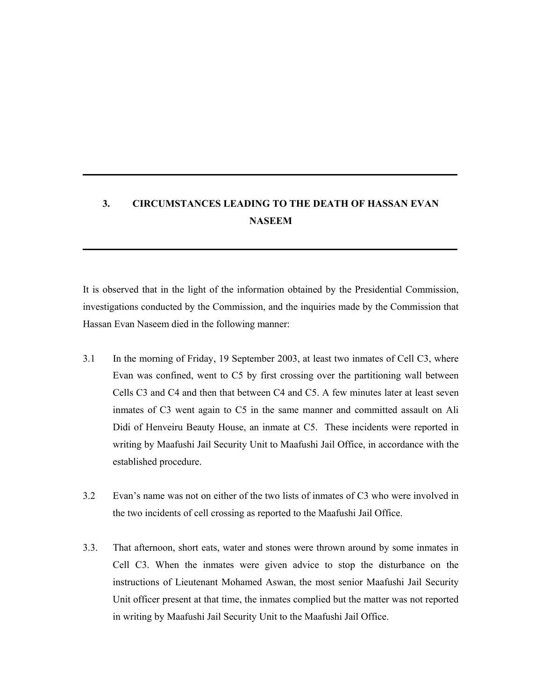## **3. CIRCUMSTANCES LEADING TO THE DEATH OF HASSAN EVAN NASEEM**

It is observed that in the light of the information obtained by the Presidential Commission, investigations conducted by the Commission, and the inquiries made by the Commission that Hassan Evan Naseem died in the following manner:

- 3.1 In the morning of Friday, 19 September 2003, at least two inmates of Cell C3, where Evan was confined, went to C5 by first crossing over the partitioning wall between Cells C3 and C4 and then that between C4 and C5. A few minutes later at least seven inmates of C3 went again to C5 in the same manner and committed assault on Ali Didi of Henveiru Beauty House, an inmate at C5. These incidents were reported in writing by Maafushi Jail Security Unit to Maafushi Jail Office, in accordance with the established procedure.
- 3.2 Evan's name was not on either of the two lists of inmates of C3 who were involved in the two incidents of cell crossing as reported to the Maafushi Jail Office.
- 3.3. That afternoon, short eats, water and stones were thrown around by some inmates in Cell C3. When the inmates were given advice to stop the disturbance on the instructions of Lieutenant Mohamed Aswan, the most senior Maafushi Jail Security Unit officer present at that time, the inmates complied but the matter was not reported in writing by Maafushi Jail Security Unit to the Maafushi Jail Office.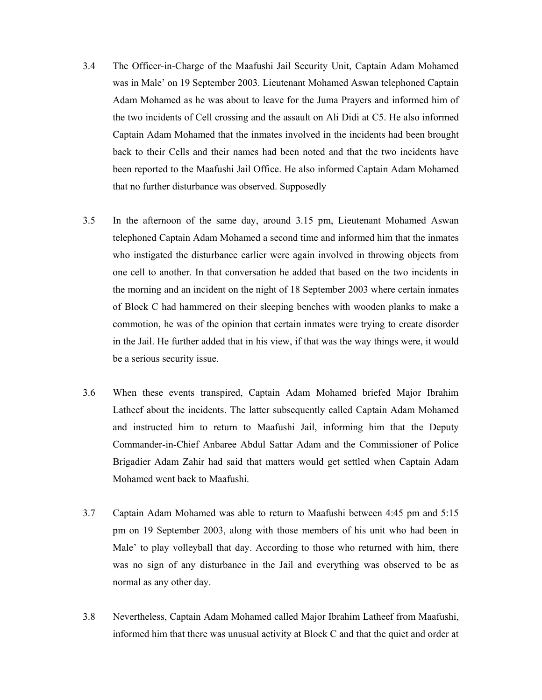- 3.4 The Officer-in-Charge of the Maafushi Jail Security Unit, Captain Adam Mohamed was in Male' on 19 September 2003. Lieutenant Mohamed Aswan telephoned Captain Adam Mohamed as he was about to leave for the Juma Prayers and informed him of the two incidents of Cell crossing and the assault on Ali Didi at C5. He also informed Captain Adam Mohamed that the inmates involved in the incidents had been brought back to their Cells and their names had been noted and that the two incidents have been reported to the Maafushi Jail Office. He also informed Captain Adam Mohamed that no further disturbance was observed. Supposedly
- 3.5 In the afternoon of the same day, around 3.15 pm, Lieutenant Mohamed Aswan telephoned Captain Adam Mohamed a second time and informed him that the inmates who instigated the disturbance earlier were again involved in throwing objects from one cell to another. In that conversation he added that based on the two incidents in the morning and an incident on the night of 18 September 2003 where certain inmates of Block C had hammered on their sleeping benches with wooden planks to make a commotion, he was of the opinion that certain inmates were trying to create disorder in the Jail. He further added that in his view, if that was the way things were, it would be a serious security issue.
- 3.6 When these events transpired, Captain Adam Mohamed briefed Major Ibrahim Latheef about the incidents. The latter subsequently called Captain Adam Mohamed and instructed him to return to Maafushi Jail, informing him that the Deputy Commander-in-Chief Anbaree Abdul Sattar Adam and the Commissioner of Police Brigadier Adam Zahir had said that matters would get settled when Captain Adam Mohamed went back to Maafushi.
- 3.7 Captain Adam Mohamed was able to return to Maafushi between 4:45 pm and 5:15 pm on 19 September 2003, along with those members of his unit who had been in Male' to play volleyball that day. According to those who returned with him, there was no sign of any disturbance in the Jail and everything was observed to be as normal as any other day.
- 3.8 Nevertheless, Captain Adam Mohamed called Major Ibrahim Latheef from Maafushi, informed him that there was unusual activity at Block C and that the quiet and order at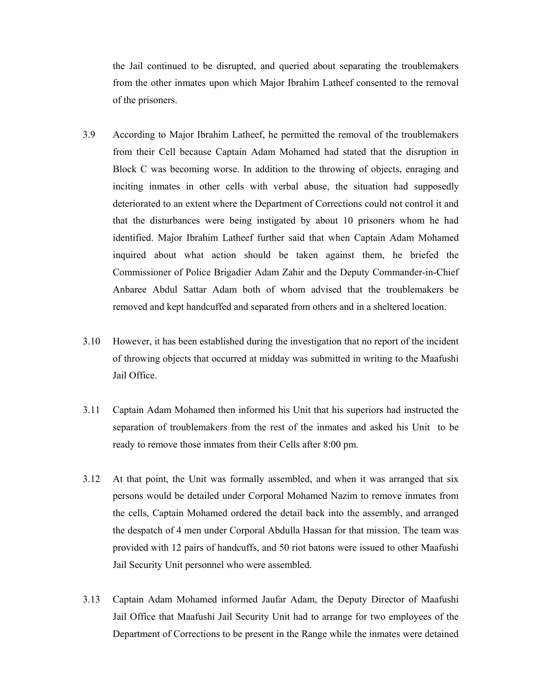the Jail continued to be disrupted, and queried about separating the troublemakers from the other inmates upon which Major Ibrahim Latheef consented to the removal of the prisoners.

- 3.9 According to Major Ibrahim Latheef, he permitted the removal of the troublemakers from their Cell because Captain Adam Mohamed had stated that the disruption in Block C was becoming worse. In addition to the throwing of objects, enraging and inciting inmates in other cells with verbal abuse, the situation had supposedly deteriorated to an extent where the Department of Corrections could not control it and that the disturbances were being instigated by about 10 prisoners whom he had identified. Major Ibrahim Latheef further said that when Captain Adam Mohamed inquired about what action should be taken against them, he briefed the Commissioner of Police Brigadier Adam Zahir and the Deputy Commander-in-Chief Anbaree Abdul Sattar Adam both of whom advised that the troublemakers be removed and kept handcuffed and separated from others and in a sheltered location.
- 3.10 However, it has been established during the investigation that no report of the incident of throwing objects that occurred at midday was submitted in writing to the Maafushi Jail Office.
- 3.11 Captain Adam Mohamed then informed his Unit that his superiors had instructed the separation of troublemakers from the rest of the inmates and asked his Unit to be ready to remove those inmates from their Cells after 8:00 pm.
- 3.12 At that point, the Unit was formally assembled, and when it was arranged that six persons would be detailed under Corporal Mohamed Nazim to remove inmates from the cells, Captain Mohamed ordered the detail back into the assembly, and arranged the despatch of 4 men under Corporal Abdulla Hassan for that mission. The team was provided with 12 pairs of handcuffs, and 50 riot batons were issued to other Maafushi Jail Security Unit personnel who were assembled.
- 3.13 Captain Adam Mohamed informed Jaufar Adam, the Deputy Director of Maafushi Jail Office that Maafushi Jail Security Unit had to arrange for two employees of the Department of Corrections to be present in the Range while the inmates were detained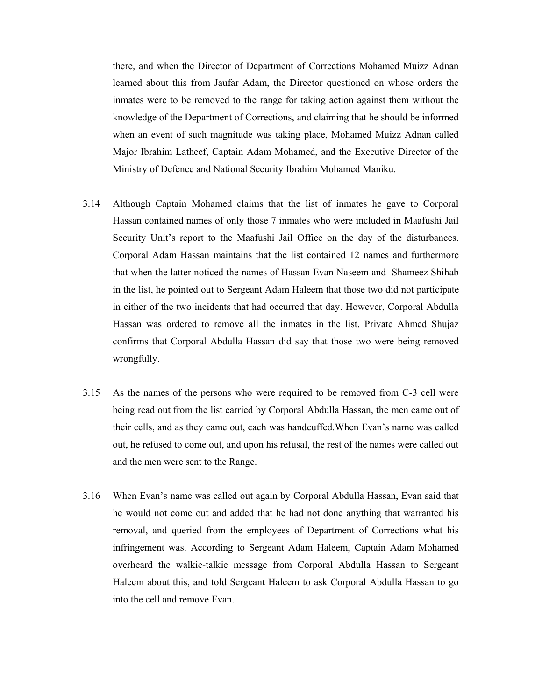there, and when the Director of Department of Corrections Mohamed Muizz Adnan learned about this from Jaufar Adam, the Director questioned on whose orders the inmates were to be removed to the range for taking action against them without the knowledge of the Department of Corrections, and claiming that he should be informed when an event of such magnitude was taking place, Mohamed Muizz Adnan called Major Ibrahim Latheef, Captain Adam Mohamed, and the Executive Director of the Ministry of Defence and National Security Ibrahim Mohamed Maniku.

- 3.14 Although Captain Mohamed claims that the list of inmates he gave to Corporal Hassan contained names of only those 7 inmates who were included in Maafushi Jail Security Unit's report to the Maafushi Jail Office on the day of the disturbances. Corporal Adam Hassan maintains that the list contained 12 names and furthermore that when the latter noticed the names of Hassan Evan Naseem and Shameez Shihab in the list, he pointed out to Sergeant Adam Haleem that those two did not participate in either of the two incidents that had occurred that day. However, Corporal Abdulla Hassan was ordered to remove all the inmates in the list. Private Ahmed Shujaz confirms that Corporal Abdulla Hassan did say that those two were being removed wrongfully.
- 3.15 As the names of the persons who were required to be removed from C-3 cell were being read out from the list carried by Corporal Abdulla Hassan, the men came out of their cells, and as they came out, each was handcuffed. When Evan's name was called out, he refused to come out, and upon his refusal, the rest of the names were called out and the men were sent to the Range.
- 3.16 When Evan's name was called out again by Corporal Abdulla Hassan, Evan said that he would not come out and added that he had not done anything that warranted his removal, and queried from the employees of Department of Corrections what his infringement was. According to Sergeant Adam Haleem, Captain Adam Mohamed overheard the walkie-talkie message from Corporal Abdulla Hassan to Sergeant Haleem about this, and told Sergeant Haleem to ask Corporal Abdulla Hassan to go into the cell and remove Evan.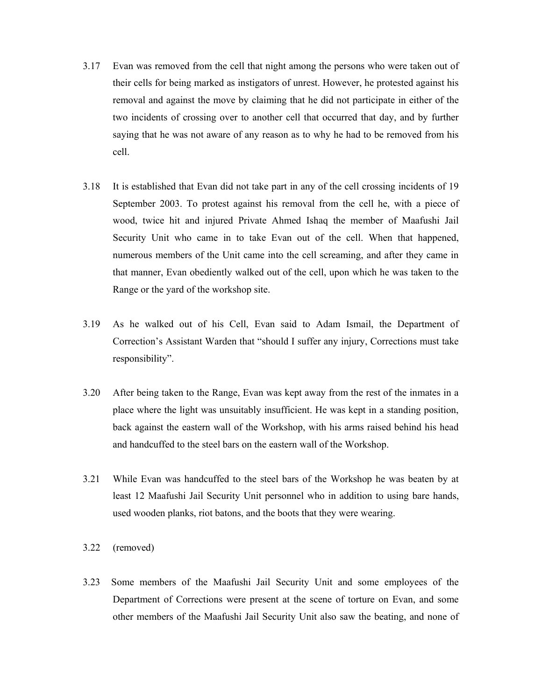- 3.17 Evan was removed from the cell that night among the persons who were taken out of their cells for being marked as instigators of unrest. However, he protested against his removal and against the move by claiming that he did not participate in either of the two incidents of crossing over to another cell that occurred that day, and by further saying that he was not aware of any reason as to why he had to be removed from his cell.
- 3.18 It is established that Evan did not take part in any of the cell crossing incidents of 19 September 2003. To protest against his removal from the cell he, with a piece of wood, twice hit and injured Private Ahmed Ishaq the member of Maafushi Jail Security Unit who came in to take Evan out of the cell. When that happened, numerous members of the Unit came into the cell screaming, and after they came in that manner, Evan obediently walked out of the cell, upon which he was taken to the Range or the yard of the workshop site.
- 3.19 As he walked out of his Cell, Evan said to Adam Ismail, the Department of Correction's Assistant Warden that "should I suffer any injury, Corrections must take responsibility".
- 3.20 After being taken to the Range, Evan was kept away from the rest of the inmates in a place where the light was unsuitably insufficient. He was kept in a standing position, back against the eastern wall of the Workshop, with his arms raised behind his head and handcuffed to the steel bars on the eastern wall of the Workshop.
- 3.21 While Evan was handcuffed to the steel bars of the Workshop he was beaten by at least 12 Maafushi Jail Security Unit personnel who in addition to using bare hands, used wooden planks, riot batons, and the boots that they were wearing.
- 3.22 (removed)
- 3.23 Some members of the Maafushi Jail Security Unit and some employees of the Department of Corrections were present at the scene of torture on Evan, and some other members of the Maafushi Jail Security Unit also saw the beating, and none of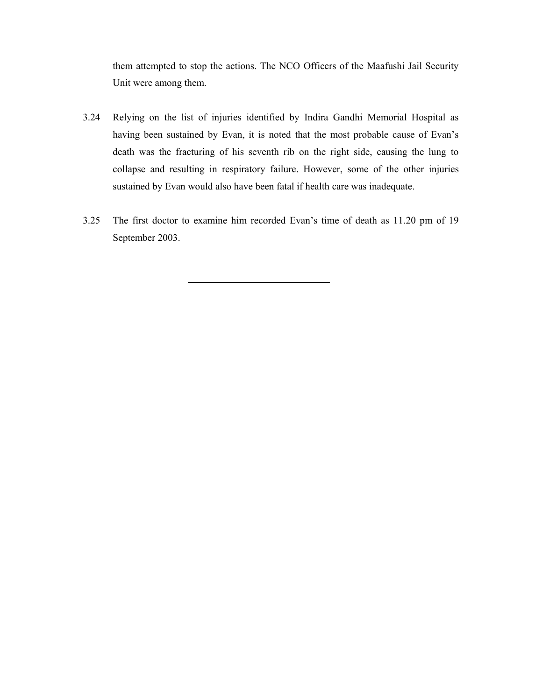them attempted to stop the actions. The NCO Officers of the Maafushi Jail Security Unit were among them.

- 3.24 Relying on the list of injuries identified by Indira Gandhi Memorial Hospital as having been sustained by Evan, it is noted that the most probable cause of Evan's death was the fracturing of his seventh rib on the right side, causing the lung to collapse and resulting in respiratory failure. However, some of the other injuries sustained by Evan would also have been fatal if health care was inadequate.
- 3.25 The first doctor to examine him recorded Evan's time of death as 11.20 pm of 19 September 2003.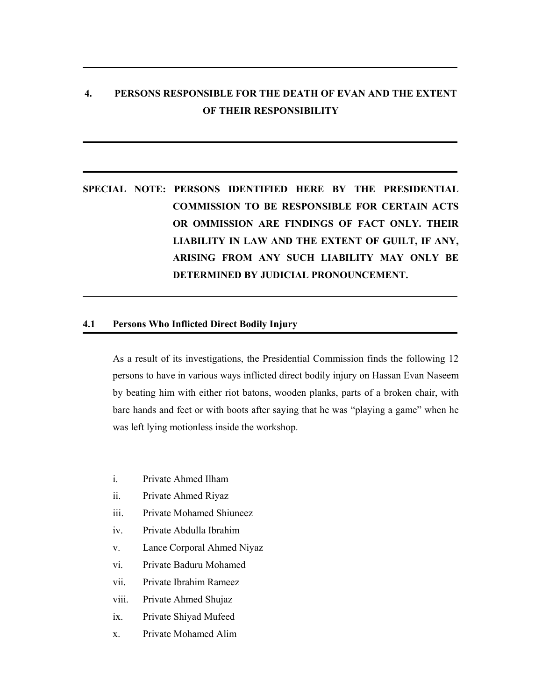## **4. PERSONS RESPONSIBLE FOR THE DEATH OF EVAN AND THE EXTENT OF THEIR RESPONSIBILITY**

## **SPECIAL NOTE: PERSONS IDENTIFIED HERE BY THE PRESIDENTIAL COMMISSION TO BE RESPONSIBLE FOR CERTAIN ACTS OR OMMISSION ARE FINDINGS OF FACT ONLY. THEIR LIABILITY IN LAW AND THE EXTENT OF GUILT, IF ANY, ARISING FROM ANY SUCH LIABILITY MAY ONLY BE DETERMINED BY JUDICIAL PRONOUNCEMENT.**

#### **4.1 Persons Who Inflicted Direct Bodily Injury**

As a result of its investigations, the Presidential Commission finds the following 12 persons to have in various ways inflicted direct bodily injury on Hassan Evan Naseem by beating him with either riot batons, wooden planks, parts of a broken chair, with bare hands and feet or with boots after saying that he was "playing a game" when he was left lying motionless inside the workshop.

- i. Private Ahmed Ilham
- ii. Private Ahmed Riyaz
- iii. Private Mohamed Shiuneez
- iv. Private Abdulla Ibrahim
- v. Lance Corporal Ahmed Niyaz
- vi. Private Baduru Mohamed
- vii. Private Ibrahim Rameez
- viii. Private Ahmed Shujaz
- ix. Private Shiyad Mufeed
- x. Private Mohamed Alim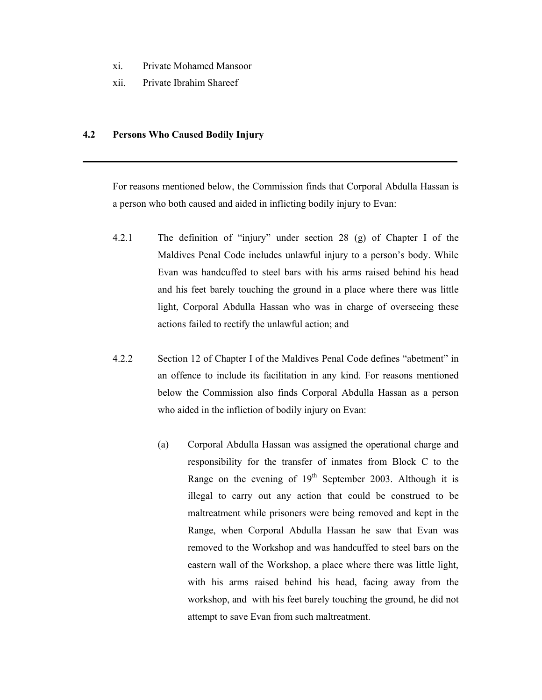- xi. Private Mohamed Mansoor
- xii. Private Ibrahim Shareef

### **4.2 Persons Who Caused Bodily Injury**

For reasons mentioned below, the Commission finds that Corporal Abdulla Hassan is a person who both caused and aided in inflicting bodily injury to Evan:

- 4.2.1 The definition of "injury" under section 28 (g) of Chapter I of the Maldives Penal Code includes unlawful injury to a person's body. While Evan was handcuffed to steel bars with his arms raised behind his head and his feet barely touching the ground in a place where there was little light, Corporal Abdulla Hassan who was in charge of overseeing these actions failed to rectify the unlawful action; and
- 4.2.2 Section 12 of Chapter I of the Maldives Penal Code defines "abetment" in an offence to include its facilitation in any kind. For reasons mentioned below the Commission also finds Corporal Abdulla Hassan as a person who aided in the infliction of bodily injury on Evan:
	- (a) Corporal Abdulla Hassan was assigned the operational charge and responsibility for the transfer of inmates from Block C to the Range on the evening of  $19<sup>th</sup>$  September 2003. Although it is illegal to carry out any action that could be construed to be maltreatment while prisoners were being removed and kept in the Range, when Corporal Abdulla Hassan he saw that Evan was removed to the Workshop and was handcuffed to steel bars on the eastern wall of the Workshop, a place where there was little light, with his arms raised behind his head, facing away from the workshop, and with his feet barely touching the ground, he did not attempt to save Evan from such maltreatment.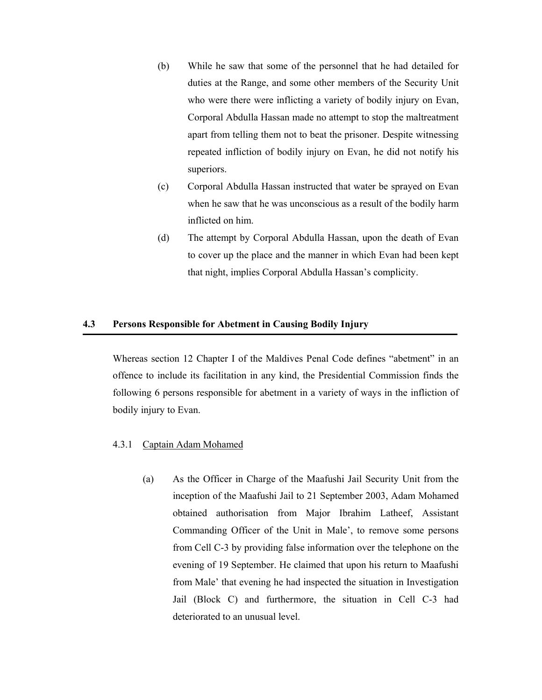- (b) While he saw that some of the personnel that he had detailed for duties at the Range, and some other members of the Security Unit who were there were inflicting a variety of bodily injury on Evan, Corporal Abdulla Hassan made no attempt to stop the maltreatment apart from telling them not to beat the prisoner. Despite witnessing repeated infliction of bodily injury on Evan, he did not notify his superiors.
- (c) Corporal Abdulla Hassan instructed that water be sprayed on Evan when he saw that he was unconscious as a result of the bodily harm inflicted on him.
- (d) The attempt by Corporal Abdulla Hassan, upon the death of Evan to cover up the place and the manner in which Evan had been kept that night, implies Corporal Abdulla Hassan's complicity.

#### **4.3 Persons Responsible for Abetment in Causing Bodily Injury**

Whereas section 12 Chapter I of the Maldives Penal Code defines "abetment" in an offence to include its facilitation in any kind, the Presidential Commission finds the following 6 persons responsible for abetment in a variety of ways in the infliction of bodily injury to Evan.

## 4.3.1 Captain Adam Mohamed

(a) As the Officer in Charge of the Maafushi Jail Security Unit from the inception of the Maafushi Jail to 21 September 2003, Adam Mohamed obtained authorisation from Major Ibrahim Latheef, Assistant Commanding Officer of the Unit in Male', to remove some persons from Cell C-3 by providing false information over the telephone on the evening of 19 September. He claimed that upon his return to Maafushi from Male' that evening he had inspected the situation in Investigation Jail (Block C) and furthermore, the situation in Cell C-3 had deteriorated to an unusual level.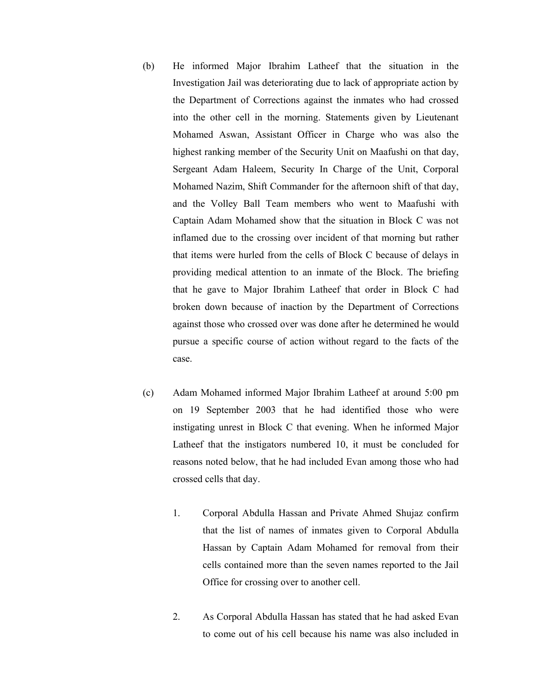- (b) He informed Major Ibrahim Latheef that the situation in the Investigation Jail was deteriorating due to lack of appropriate action by the Department of Corrections against the inmates who had crossed into the other cell in the morning. Statements given by Lieutenant Mohamed Aswan, Assistant Officer in Charge who was also the highest ranking member of the Security Unit on Maafushi on that day, Sergeant Adam Haleem, Security In Charge of the Unit, Corporal Mohamed Nazim, Shift Commander for the afternoon shift of that day, and the Volley Ball Team members who went to Maafushi with Captain Adam Mohamed show that the situation in Block C was not inflamed due to the crossing over incident of that morning but rather that items were hurled from the cells of Block C because of delays in providing medical attention to an inmate of the Block. The briefing that he gave to Major Ibrahim Latheef that order in Block C had broken down because of inaction by the Department of Corrections against those who crossed over was done after he determined he would pursue a specific course of action without regard to the facts of the case.
- (c) Adam Mohamed informed Major Ibrahim Latheef at around 5:00 pm on 19 September 2003 that he had identified those who were instigating unrest in Block C that evening. When he informed Major Latheef that the instigators numbered 10, it must be concluded for reasons noted below, that he had included Evan among those who had crossed cells that day.
	- 1. Corporal Abdulla Hassan and Private Ahmed Shujaz confirm that the list of names of inmates given to Corporal Abdulla Hassan by Captain Adam Mohamed for removal from their cells contained more than the seven names reported to the Jail Office for crossing over to another cell.
	- 2. As Corporal Abdulla Hassan has stated that he had asked Evan to come out of his cell because his name was also included in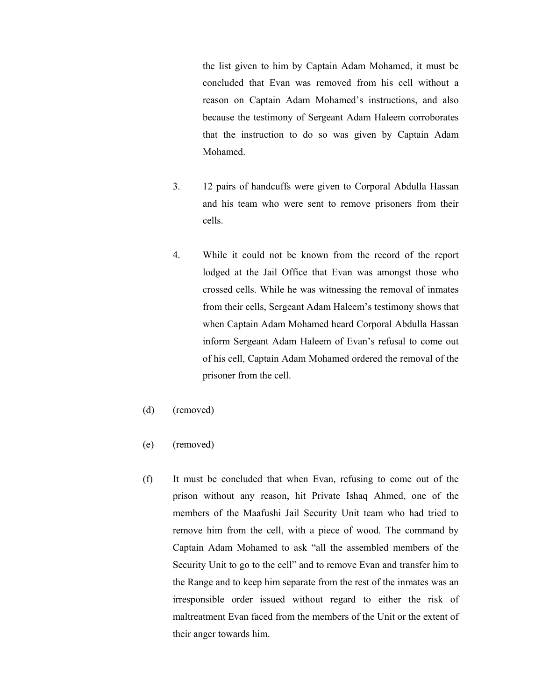the list given to him by Captain Adam Mohamed, it must be concluded that Evan was removed from his cell without a reason on Captain Adam Mohamed's instructions, and also because the testimony of Sergeant Adam Haleem corroborates that the instruction to do so was given by Captain Adam Mohamed.

- 3. 12 pairs of handcuffs were given to Corporal Abdulla Hassan and his team who were sent to remove prisoners from their cells.
- 4. While it could not be known from the record of the report lodged at the Jail Office that Evan was amongst those who crossed cells. While he was witnessing the removal of inmates from their cells, Sergeant Adam Haleem's testimony shows that when Captain Adam Mohamed heard Corporal Abdulla Hassan inform Sergeant Adam Haleem of Evan's refusal to come out of his cell, Captain Adam Mohamed ordered the removal of the prisoner from the cell.
- (d) (removed)
- (e) (removed)
- (f) It must be concluded that when Evan, refusing to come out of the prison without any reason, hit Private Ishaq Ahmed, one of the members of the Maafushi Jail Security Unit team who had tried to remove him from the cell, with a piece of wood. The command by Captain Adam Mohamed to ask "all the assembled members of the Security Unit to go to the cell" and to remove Evan and transfer him to the Range and to keep him separate from the rest of the inmates was an irresponsible order issued without regard to either the risk of maltreatment Evan faced from the members of the Unit or the extent of their anger towards him.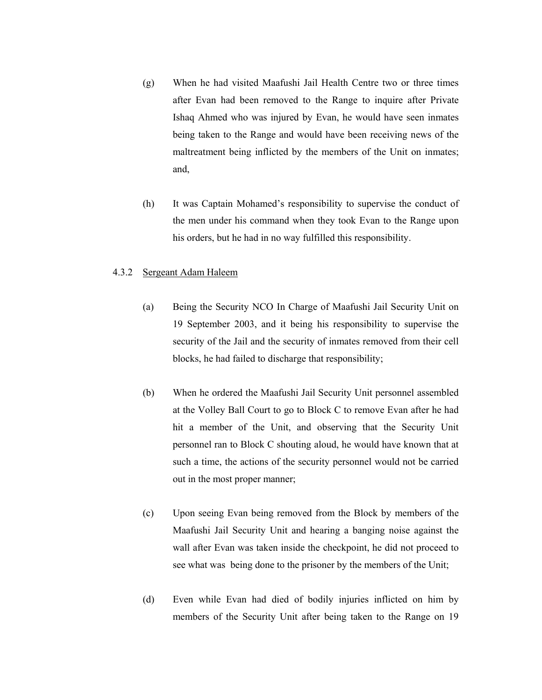- (g) When he had visited Maafushi Jail Health Centre two or three times after Evan had been removed to the Range to inquire after Private Ishaq Ahmed who was injured by Evan, he would have seen inmates being taken to the Range and would have been receiving news of the maltreatment being inflicted by the members of the Unit on inmates; and,
- (h) It was Captain Mohamed's responsibility to supervise the conduct of the men under his command when they took Evan to the Range upon his orders, but he had in no way fulfilled this responsibility.

#### 4.3.2 Sergeant Adam Haleem

- (a) Being the Security NCO In Charge of Maafushi Jail Security Unit on 19 September 2003, and it being his responsibility to supervise the security of the Jail and the security of inmates removed from their cell blocks, he had failed to discharge that responsibility;
- (b) When he ordered the Maafushi Jail Security Unit personnel assembled at the Volley Ball Court to go to Block C to remove Evan after he had hit a member of the Unit, and observing that the Security Unit personnel ran to Block C shouting aloud, he would have known that at such a time, the actions of the security personnel would not be carried out in the most proper manner;
- (c) Upon seeing Evan being removed from the Block by members of the Maafushi Jail Security Unit and hearing a banging noise against the wall after Evan was taken inside the checkpoint, he did not proceed to see what was being done to the prisoner by the members of the Unit;
- (d) Even while Evan had died of bodily injuries inflicted on him by members of the Security Unit after being taken to the Range on 19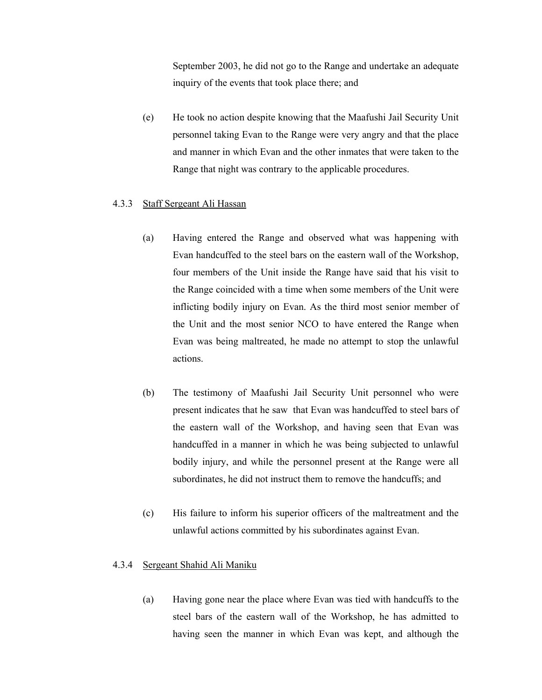September 2003, he did not go to the Range and undertake an adequate inquiry of the events that took place there; and

(e) He took no action despite knowing that the Maafushi Jail Security Unit personnel taking Evan to the Range were very angry and that the place and manner in which Evan and the other inmates that were taken to the Range that night was contrary to the applicable procedures.

#### 4.3.3 Staff Sergeant Ali Hassan

- (a) Having entered the Range and observed what was happening with Evan handcuffed to the steel bars on the eastern wall of the Workshop, four members of the Unit inside the Range have said that his visit to the Range coincided with a time when some members of the Unit were inflicting bodily injury on Evan. As the third most senior member of the Unit and the most senior NCO to have entered the Range when Evan was being maltreated, he made no attempt to stop the unlawful actions.
- (b) The testimony of Maafushi Jail Security Unit personnel who were present indicates that he saw that Evan was handcuffed to steel bars of the eastern wall of the Workshop, and having seen that Evan was handcuffed in a manner in which he was being subjected to unlawful bodily injury, and while the personnel present at the Range were all subordinates, he did not instruct them to remove the handcuffs; and
- (c) His failure to inform his superior officers of the maltreatment and the unlawful actions committed by his subordinates against Evan.

#### 4.3.4 Sergeant Shahid Ali Maniku

(a) Having gone near the place where Evan was tied with handcuffs to the steel bars of the eastern wall of the Workshop, he has admitted to having seen the manner in which Evan was kept, and although the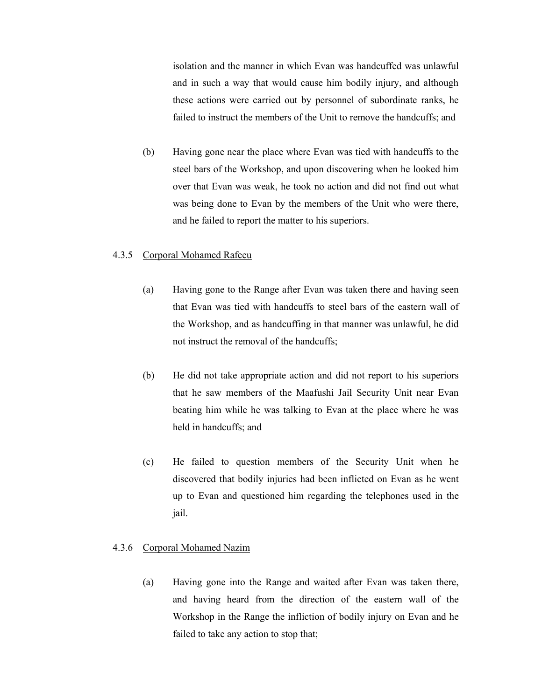isolation and the manner in which Evan was handcuffed was unlawful and in such a way that would cause him bodily injury, and although these actions were carried out by personnel of subordinate ranks, he failed to instruct the members of the Unit to remove the handcuffs; and

(b) Having gone near the place where Evan was tied with handcuffs to the steel bars of the Workshop, and upon discovering when he looked him over that Evan was weak, he took no action and did not find out what was being done to Evan by the members of the Unit who were there, and he failed to report the matter to his superiors.

#### 4.3.5 Corporal Mohamed Rafeeu

- (a) Having gone to the Range after Evan was taken there and having seen that Evan was tied with handcuffs to steel bars of the eastern wall of the Workshop, and as handcuffing in that manner was unlawful, he did not instruct the removal of the handcuffs;
- (b) He did not take appropriate action and did not report to his superiors that he saw members of the Maafushi Jail Security Unit near Evan beating him while he was talking to Evan at the place where he was held in handcuffs; and
- (c) He failed to question members of the Security Unit when he discovered that bodily injuries had been inflicted on Evan as he went up to Evan and questioned him regarding the telephones used in the jail.

#### 4.3.6 Corporal Mohamed Nazim

(a) Having gone into the Range and waited after Evan was taken there, and having heard from the direction of the eastern wall of the Workshop in the Range the infliction of bodily injury on Evan and he failed to take any action to stop that;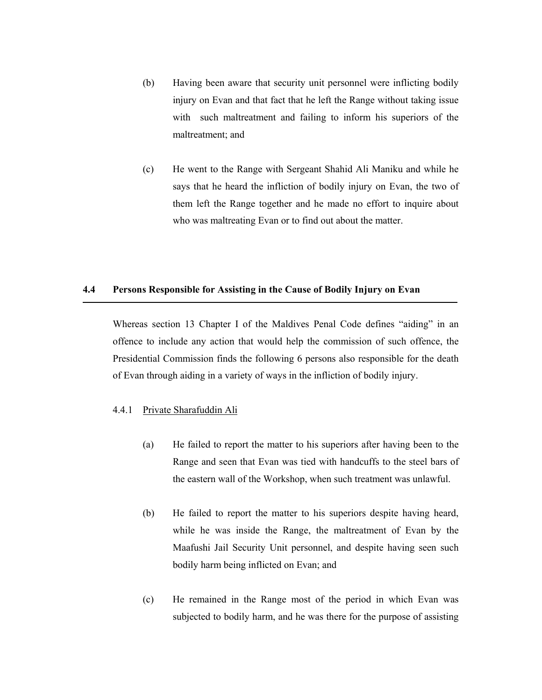- (b) Having been aware that security unit personnel were inflicting bodily injury on Evan and that fact that he left the Range without taking issue with such maltreatment and failing to inform his superiors of the maltreatment; and
- (c) He went to the Range with Sergeant Shahid Ali Maniku and while he says that he heard the infliction of bodily injury on Evan, the two of them left the Range together and he made no effort to inquire about who was maltreating Evan or to find out about the matter.

#### **4.4 Persons Responsible for Assisting in the Cause of Bodily Injury on Evan**

Whereas section 13 Chapter I of the Maldives Penal Code defines "aiding" in an offence to include any action that would help the commission of such offence, the Presidential Commission finds the following 6 persons also responsible for the death of Evan through aiding in a variety of ways in the infliction of bodily injury.

## 4.4.1 Private Sharafuddin Ali

- (a) He failed to report the matter to his superiors after having been to the Range and seen that Evan was tied with handcuffs to the steel bars of the eastern wall of the Workshop, when such treatment was unlawful.
- (b) He failed to report the matter to his superiors despite having heard, while he was inside the Range, the maltreatment of Evan by the Maafushi Jail Security Unit personnel, and despite having seen such bodily harm being inflicted on Evan; and
- (c) He remained in the Range most of the period in which Evan was subjected to bodily harm, and he was there for the purpose of assisting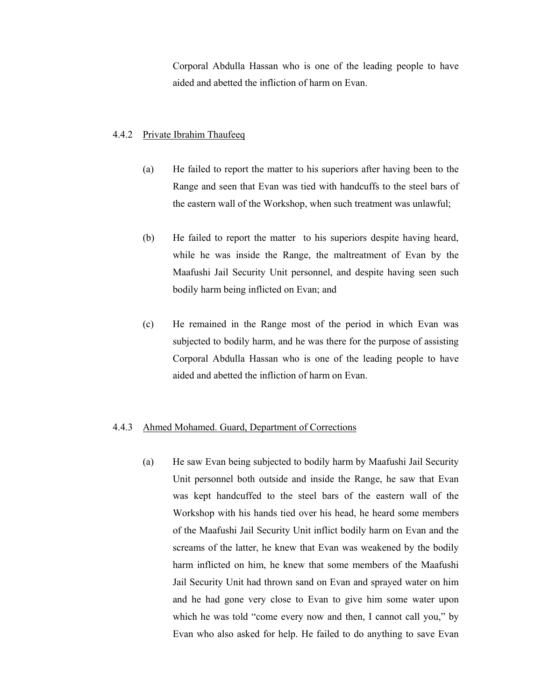Corporal Abdulla Hassan who is one of the leading people to have aided and abetted the infliction of harm on Evan.

#### 4.4.2 Private Ibrahim Thaufeeq

- (a) He failed to report the matter to his superiors after having been to the Range and seen that Evan was tied with handcuffs to the steel bars of the eastern wall of the Workshop, when such treatment was unlawful;
- (b) He failed to report the matter to his superiors despite having heard, while he was inside the Range, the maltreatment of Evan by the Maafushi Jail Security Unit personnel, and despite having seen such bodily harm being inflicted on Evan; and
- (c) He remained in the Range most of the period in which Evan was subjected to bodily harm, and he was there for the purpose of assisting Corporal Abdulla Hassan who is one of the leading people to have aided and abetted the infliction of harm on Evan.

#### 4.4.3 Ahmed Mohamed. Guard, Department of Corrections

(a) He saw Evan being subjected to bodily harm by Maafushi Jail Security Unit personnel both outside and inside the Range, he saw that Evan was kept handcuffed to the steel bars of the eastern wall of the Workshop with his hands tied over his head, he heard some members of the Maafushi Jail Security Unit inflict bodily harm on Evan and the screams of the latter, he knew that Evan was weakened by the bodily harm inflicted on him, he knew that some members of the Maafushi Jail Security Unit had thrown sand on Evan and sprayed water on him and he had gone very close to Evan to give him some water upon which he was told "come every now and then, I cannot call you," by Evan who also asked for help. He failed to do anything to save Evan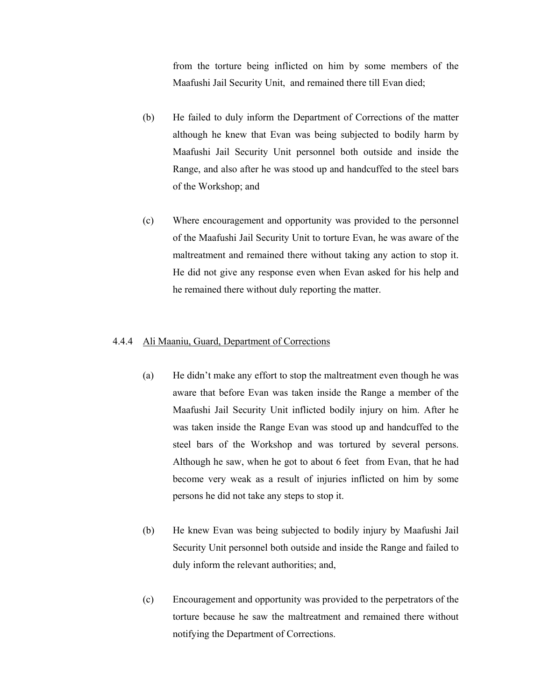from the torture being inflicted on him by some members of the Maafushi Jail Security Unit, and remained there till Evan died;

- (b) He failed to duly inform the Department of Corrections of the matter although he knew that Evan was being subjected to bodily harm by Maafushi Jail Security Unit personnel both outside and inside the Range, and also after he was stood up and handcuffed to the steel bars of the Workshop; and
- (c) Where encouragement and opportunity was provided to the personnel of the Maafushi Jail Security Unit to torture Evan, he was aware of the maltreatment and remained there without taking any action to stop it. He did not give any response even when Evan asked for his help and he remained there without duly reporting the matter.

## 4.4.4 Ali Maaniu, Guard, Department of Corrections

- (a) He didn't make any effort to stop the maltreatment even though he was aware that before Evan was taken inside the Range a member of the Maafushi Jail Security Unit inflicted bodily injury on him. After he was taken inside the Range Evan was stood up and handcuffed to the steel bars of the Workshop and was tortured by several persons. Although he saw, when he got to about 6 feet from Evan, that he had become very weak as a result of injuries inflicted on him by some persons he did not take any steps to stop it.
- (b) He knew Evan was being subjected to bodily injury by Maafushi Jail Security Unit personnel both outside and inside the Range and failed to duly inform the relevant authorities; and,
- (c) Encouragement and opportunity was provided to the perpetrators of the torture because he saw the maltreatment and remained there without notifying the Department of Corrections.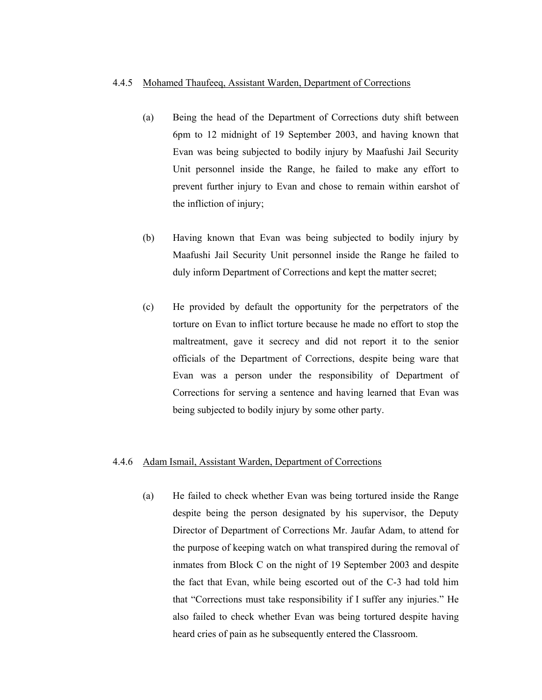#### 4.4.5 Mohamed Thaufeeq, Assistant Warden, Department of Corrections

- (a) Being the head of the Department of Corrections duty shift between 6pm to 12 midnight of 19 September 2003, and having known that Evan was being subjected to bodily injury by Maafushi Jail Security Unit personnel inside the Range, he failed to make any effort to prevent further injury to Evan and chose to remain within earshot of the infliction of injury;
- (b) Having known that Evan was being subjected to bodily injury by Maafushi Jail Security Unit personnel inside the Range he failed to duly inform Department of Corrections and kept the matter secret;
- (c) He provided by default the opportunity for the perpetrators of the torture on Evan to inflict torture because he made no effort to stop the maltreatment, gave it secrecy and did not report it to the senior officials of the Department of Corrections, despite being ware that Evan was a person under the responsibility of Department of Corrections for serving a sentence and having learned that Evan was being subjected to bodily injury by some other party.

#### 4.4.6 Adam Ismail, Assistant Warden, Department of Corrections

(a) He failed to check whether Evan was being tortured inside the Range despite being the person designated by his supervisor, the Deputy Director of Department of Corrections Mr. Jaufar Adam, to attend for the purpose of keeping watch on what transpired during the removal of inmates from Block C on the night of 19 September 2003 and despite the fact that Evan, while being escorted out of the C-3 had told him that "Corrections must take responsibility if I suffer any injuries." He also failed to check whether Evan was being tortured despite having heard cries of pain as he subsequently entered the Classroom.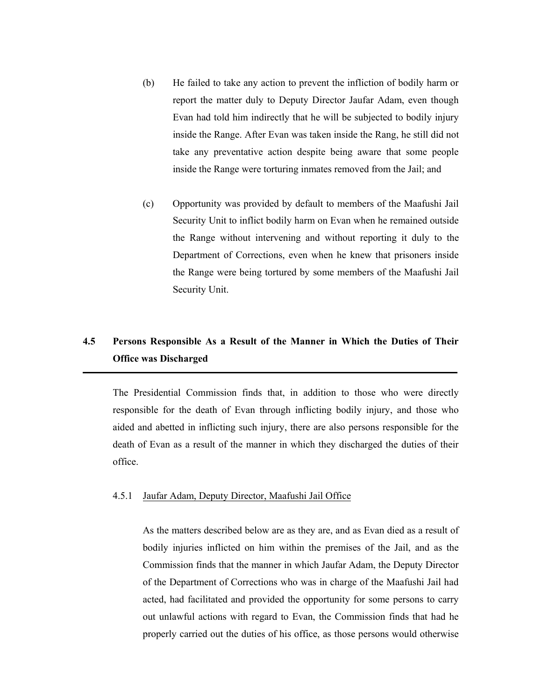- (b) He failed to take any action to prevent the infliction of bodily harm or report the matter duly to Deputy Director Jaufar Adam, even though Evan had told him indirectly that he will be subjected to bodily injury inside the Range. After Evan was taken inside the Rang, he still did not take any preventative action despite being aware that some people inside the Range were torturing inmates removed from the Jail; and
- (c) Opportunity was provided by default to members of the Maafushi Jail Security Unit to inflict bodily harm on Evan when he remained outside the Range without intervening and without reporting it duly to the Department of Corrections, even when he knew that prisoners inside the Range were being tortured by some members of the Maafushi Jail Security Unit.

## **4.5 Persons Responsible As a Result of the Manner in Which the Duties of Their Office was Discharged**

The Presidential Commission finds that, in addition to those who were directly responsible for the death of Evan through inflicting bodily injury, and those who aided and abetted in inflicting such injury, there are also persons responsible for the death of Evan as a result of the manner in which they discharged the duties of their office.

#### 4.5.1 Jaufar Adam, Deputy Director, Maafushi Jail Office

As the matters described below are as they are, and as Evan died as a result of bodily injuries inflicted on him within the premises of the Jail, and as the Commission finds that the manner in which Jaufar Adam, the Deputy Director of the Department of Corrections who was in charge of the Maafushi Jail had acted, had facilitated and provided the opportunity for some persons to carry out unlawful actions with regard to Evan, the Commission finds that had he properly carried out the duties of his office, as those persons would otherwise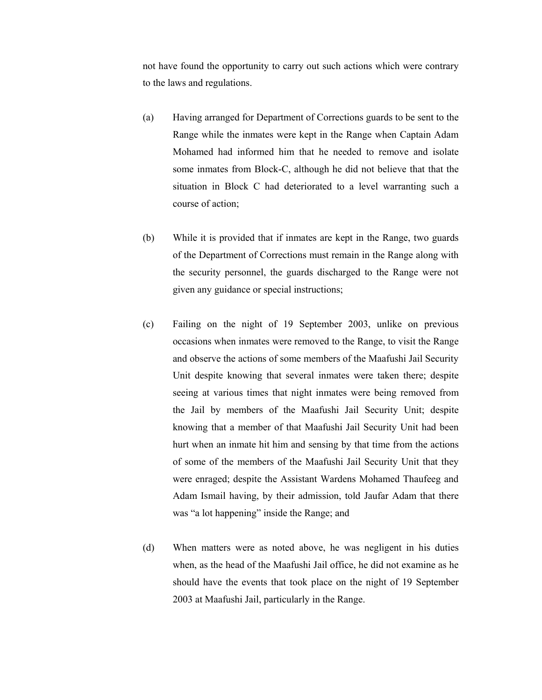not have found the opportunity to carry out such actions which were contrary to the laws and regulations.

- (a) Having arranged for Department of Corrections guards to be sent to the Range while the inmates were kept in the Range when Captain Adam Mohamed had informed him that he needed to remove and isolate some inmates from Block-C, although he did not believe that that the situation in Block C had deteriorated to a level warranting such a course of action;
- (b) While it is provided that if inmates are kept in the Range, two guards of the Department of Corrections must remain in the Range along with the security personnel, the guards discharged to the Range were not given any guidance or special instructions;
- (c) Failing on the night of 19 September 2003, unlike on previous occasions when inmates were removed to the Range, to visit the Range and observe the actions of some members of the Maafushi Jail Security Unit despite knowing that several inmates were taken there; despite seeing at various times that night inmates were being removed from the Jail by members of the Maafushi Jail Security Unit; despite knowing that a member of that Maafushi Jail Security Unit had been hurt when an inmate hit him and sensing by that time from the actions of some of the members of the Maafushi Jail Security Unit that they were enraged; despite the Assistant Wardens Mohamed Thaufeeg and Adam Ismail having, by their admission, told Jaufar Adam that there was "a lot happening" inside the Range; and
- (d) When matters were as noted above, he was negligent in his duties when, as the head of the Maafushi Jail office, he did not examine as he should have the events that took place on the night of 19 September 2003 at Maafushi Jail, particularly in the Range.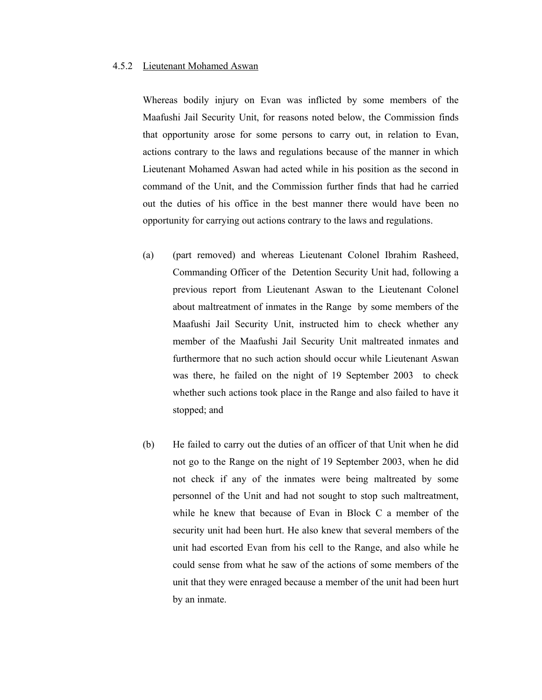#### 4.5.2 Lieutenant Mohamed Aswan

Whereas bodily injury on Evan was inflicted by some members of the Maafushi Jail Security Unit, for reasons noted below, the Commission finds that opportunity arose for some persons to carry out, in relation to Evan, actions contrary to the laws and regulations because of the manner in which Lieutenant Mohamed Aswan had acted while in his position as the second in command of the Unit, and the Commission further finds that had he carried out the duties of his office in the best manner there would have been no opportunity for carrying out actions contrary to the laws and regulations.

- (a) (part removed) and whereas Lieutenant Colonel Ibrahim Rasheed, Commanding Officer of the Detention Security Unit had, following a previous report from Lieutenant Aswan to the Lieutenant Colonel about maltreatment of inmates in the Range by some members of the Maafushi Jail Security Unit, instructed him to check whether any member of the Maafushi Jail Security Unit maltreated inmates and furthermore that no such action should occur while Lieutenant Aswan was there, he failed on the night of 19 September 2003 to check whether such actions took place in the Range and also failed to have it stopped; and
- (b) He failed to carry out the duties of an officer of that Unit when he did not go to the Range on the night of 19 September 2003, when he did not check if any of the inmates were being maltreated by some personnel of the Unit and had not sought to stop such maltreatment, while he knew that because of Evan in Block C a member of the security unit had been hurt. He also knew that several members of the unit had escorted Evan from his cell to the Range, and also while he could sense from what he saw of the actions of some members of the unit that they were enraged because a member of the unit had been hurt by an inmate.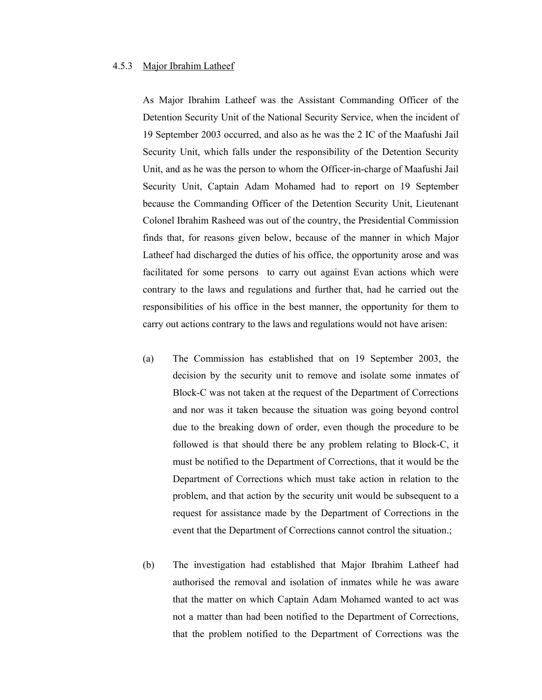#### 4.5.3 Major Ibrahim Latheef

As Major Ibrahim Latheef was the Assistant Commanding Officer of the Detention Security Unit of the National Security Service, when the incident of 19 September 2003 occurred, and also as he was the 2 IC of the Maafushi Jail Security Unit, which falls under the responsibility of the Detention Security Unit, and as he was the person to whom the Officer-in-charge of Maafushi Jail Security Unit, Captain Adam Mohamed had to report on 19 September because the Commanding Officer of the Detention Security Unit, Lieutenant Colonel Ibrahim Rasheed was out of the country, the Presidential Commission finds that, for reasons given below, because of the manner in which Major Latheef had discharged the duties of his office, the opportunity arose and was facilitated for some persons to carry out against Evan actions which were contrary to the laws and regulations and further that, had he carried out the responsibilities of his office in the best manner, the opportunity for them to carry out actions contrary to the laws and regulations would not have arisen:

- (a) The Commission has established that on 19 September 2003, the decision by the security unit to remove and isolate some inmates of Block-C was not taken at the request of the Department of Corrections and nor was it taken because the situation was going beyond control due to the breaking down of order, even though the procedure to be followed is that should there be any problem relating to Block-C, it must be notified to the Department of Corrections, that it would be the Department of Corrections which must take action in relation to the problem, and that action by the security unit would be subsequent to a request for assistance made by the Department of Corrections in the event that the Department of Corrections cannot control the situation.;
- (b) The investigation had established that Major Ibrahim Latheef had authorised the removal and isolation of inmates while he was aware that the matter on which Captain Adam Mohamed wanted to act was not a matter than had been notified to the Department of Corrections, that the problem notified to the Department of Corrections was the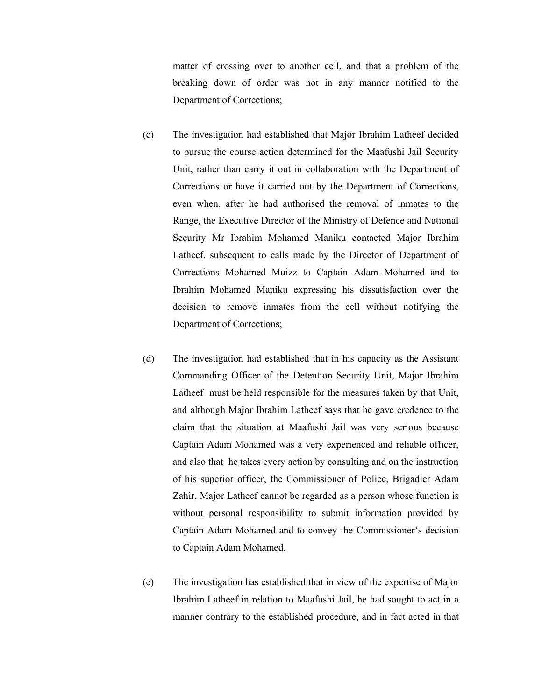matter of crossing over to another cell, and that a problem of the breaking down of order was not in any manner notified to the Department of Corrections;

- (c) The investigation had established that Major Ibrahim Latheef decided to pursue the course action determined for the Maafushi Jail Security Unit, rather than carry it out in collaboration with the Department of Corrections or have it carried out by the Department of Corrections, even when, after he had authorised the removal of inmates to the Range, the Executive Director of the Ministry of Defence and National Security Mr Ibrahim Mohamed Maniku contacted Major Ibrahim Latheef, subsequent to calls made by the Director of Department of Corrections Mohamed Muizz to Captain Adam Mohamed and to Ibrahim Mohamed Maniku expressing his dissatisfaction over the decision to remove inmates from the cell without notifying the Department of Corrections;
- (d) The investigation had established that in his capacity as the Assistant Commanding Officer of the Detention Security Unit, Major Ibrahim Latheef must be held responsible for the measures taken by that Unit, and although Major Ibrahim Latheef says that he gave credence to the claim that the situation at Maafushi Jail was very serious because Captain Adam Mohamed was a very experienced and reliable officer, and also that he takes every action by consulting and on the instruction of his superior officer, the Commissioner of Police, Brigadier Adam Zahir, Major Latheef cannot be regarded as a person whose function is without personal responsibility to submit information provided by Captain Adam Mohamed and to convey the Commissioner's decision to Captain Adam Mohamed.
- (e) The investigation has established that in view of the expertise of Major Ibrahim Latheef in relation to Maafushi Jail, he had sought to act in a manner contrary to the established procedure, and in fact acted in that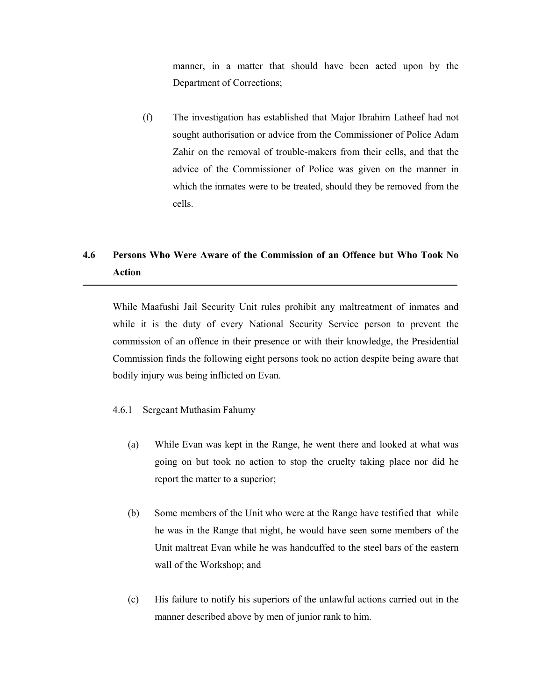manner, in a matter that should have been acted upon by the Department of Corrections;

(f) The investigation has established that Major Ibrahim Latheef had not sought authorisation or advice from the Commissioner of Police Adam Zahir on the removal of trouble-makers from their cells, and that the advice of the Commissioner of Police was given on the manner in which the inmates were to be treated, should they be removed from the cells.

## **4.6 Persons Who Were Aware of the Commission of an Offence but Who Took No Action**

While Maafushi Jail Security Unit rules prohibit any maltreatment of inmates and while it is the duty of every National Security Service person to prevent the commission of an offence in their presence or with their knowledge, the Presidential Commission finds the following eight persons took no action despite being aware that bodily injury was being inflicted on Evan.

- 4.6.1 Sergeant Muthasim Fahumy
	- (a) While Evan was kept in the Range, he went there and looked at what was going on but took no action to stop the cruelty taking place nor did he report the matter to a superior;
	- (b) Some members of the Unit who were at the Range have testified that while he was in the Range that night, he would have seen some members of the Unit maltreat Evan while he was handcuffed to the steel bars of the eastern wall of the Workshop; and
	- (c) His failure to notify his superiors of the unlawful actions carried out in the manner described above by men of junior rank to him.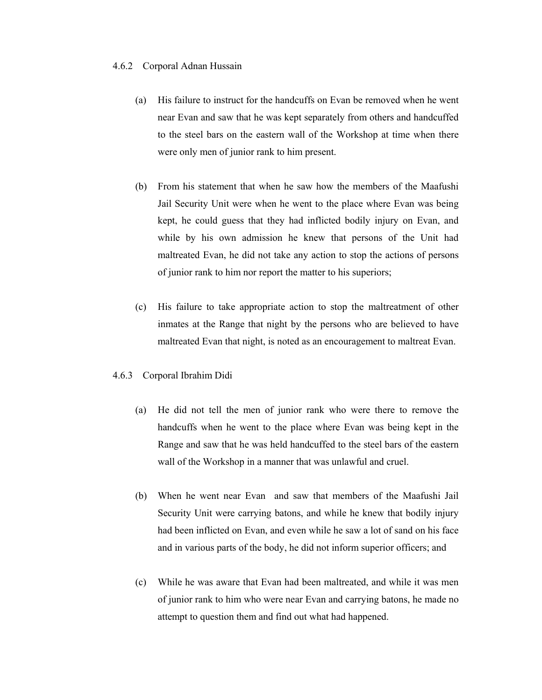#### 4.6.2 Corporal Adnan Hussain

- (a) His failure to instruct for the handcuffs on Evan be removed when he went near Evan and saw that he was kept separately from others and handcuffed to the steel bars on the eastern wall of the Workshop at time when there were only men of junior rank to him present.
- (b) From his statement that when he saw how the members of the Maafushi Jail Security Unit were when he went to the place where Evan was being kept, he could guess that they had inflicted bodily injury on Evan, and while by his own admission he knew that persons of the Unit had maltreated Evan, he did not take any action to stop the actions of persons of junior rank to him nor report the matter to his superiors;
- (c) His failure to take appropriate action to stop the maltreatment of other inmates at the Range that night by the persons who are believed to have maltreated Evan that night, is noted as an encouragement to maltreat Evan.

#### 4.6.3 Corporal Ibrahim Didi

- (a) He did not tell the men of junior rank who were there to remove the handcuffs when he went to the place where Evan was being kept in the Range and saw that he was held handcuffed to the steel bars of the eastern wall of the Workshop in a manner that was unlawful and cruel.
- (b) When he went near Evan and saw that members of the Maafushi Jail Security Unit were carrying batons, and while he knew that bodily injury had been inflicted on Evan, and even while he saw a lot of sand on his face and in various parts of the body, he did not inform superior officers; and
- (c) While he was aware that Evan had been maltreated, and while it was men of junior rank to him who were near Evan and carrying batons, he made no attempt to question them and find out what had happened.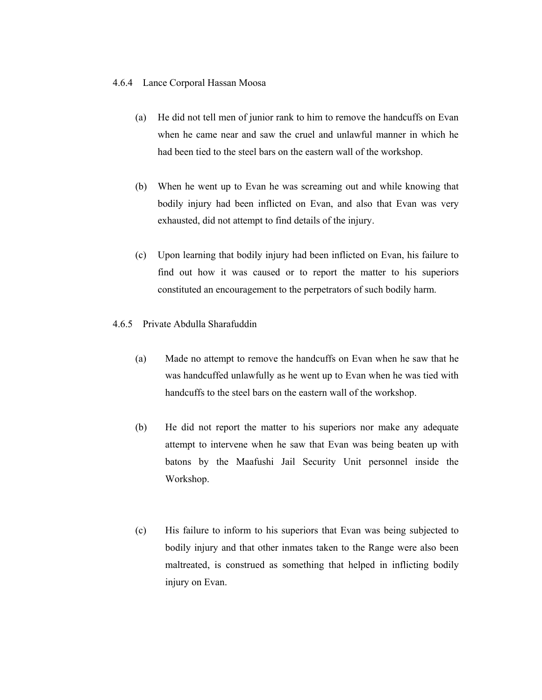#### 4.6.4 Lance Corporal Hassan Moosa

- (a) He did not tell men of junior rank to him to remove the handcuffs on Evan when he came near and saw the cruel and unlawful manner in which he had been tied to the steel bars on the eastern wall of the workshop.
- (b) When he went up to Evan he was screaming out and while knowing that bodily injury had been inflicted on Evan, and also that Evan was very exhausted, did not attempt to find details of the injury.
- (c) Upon learning that bodily injury had been inflicted on Evan, his failure to find out how it was caused or to report the matter to his superiors constituted an encouragement to the perpetrators of such bodily harm.
- 4.6.5 Private Abdulla Sharafuddin
	- (a) Made no attempt to remove the handcuffs on Evan when he saw that he was handcuffed unlawfully as he went up to Evan when he was tied with handcuffs to the steel bars on the eastern wall of the workshop.
	- (b) He did not report the matter to his superiors nor make any adequate attempt to intervene when he saw that Evan was being beaten up with batons by the Maafushi Jail Security Unit personnel inside the Workshop.
	- (c) His failure to inform to his superiors that Evan was being subjected to bodily injury and that other inmates taken to the Range were also been maltreated, is construed as something that helped in inflicting bodily injury on Evan.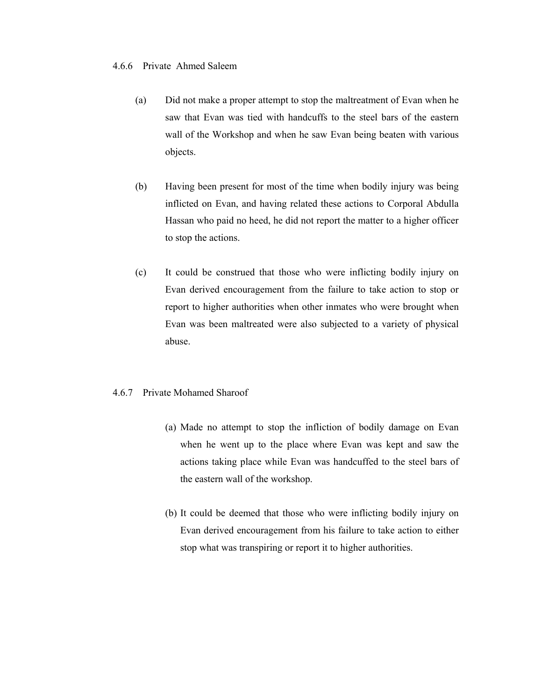#### 4.6.6 Private Ahmed Saleem

- (a) Did not make a proper attempt to stop the maltreatment of Evan when he saw that Evan was tied with handcuffs to the steel bars of the eastern wall of the Workshop and when he saw Evan being beaten with various objects.
- (b) Having been present for most of the time when bodily injury was being inflicted on Evan, and having related these actions to Corporal Abdulla Hassan who paid no heed, he did not report the matter to a higher officer to stop the actions.
- (c) It could be construed that those who were inflicting bodily injury on Evan derived encouragement from the failure to take action to stop or report to higher authorities when other inmates who were brought when Evan was been maltreated were also subjected to a variety of physical abuse.

### 4.6.7 Private Mohamed Sharoof

- (a) Made no attempt to stop the infliction of bodily damage on Evan when he went up to the place where Evan was kept and saw the actions taking place while Evan was handcuffed to the steel bars of the eastern wall of the workshop.
- (b) It could be deemed that those who were inflicting bodily injury on Evan derived encouragement from his failure to take action to either stop what was transpiring or report it to higher authorities.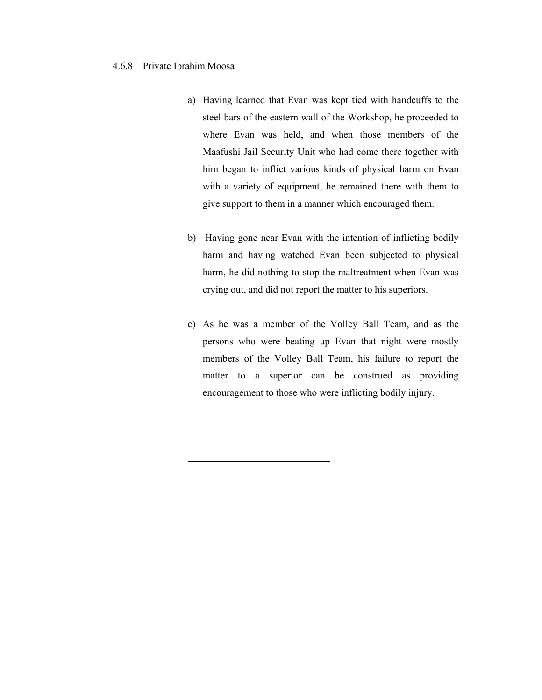#### 4.6.8 Private Ibrahim Moosa

- a) Having learned that Evan was kept tied with handcuffs to the steel bars of the eastern wall of the Workshop, he proceeded to where Evan was held, and when those members of the Maafushi Jail Security Unit who had come there together with him began to inflict various kinds of physical harm on Evan with a variety of equipment, he remained there with them to give support to them in a manner which encouraged them.
- b) Having gone near Evan with the intention of inflicting bodily harm and having watched Evan been subjected to physical harm, he did nothing to stop the maltreatment when Evan was crying out, and did not report the matter to his superiors.
- c) As he was a member of the Volley Ball Team, and as the persons who were beating up Evan that night were mostly members of the Volley Ball Team, his failure to report the matter to a superior can be construed as providing encouragement to those who were inflicting bodily injury.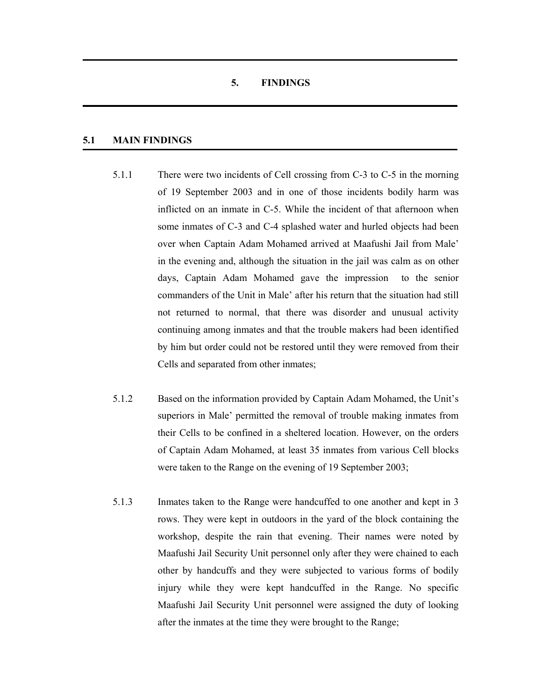## **5. FINDINGS**

## **5.1 MAIN FINDINGS**

- 5.1.1 There were two incidents of Cell crossing from C-3 to C-5 in the morning of 19 September 2003 and in one of those incidents bodily harm was inflicted on an inmate in C-5. While the incident of that afternoon when some inmates of C-3 and C-4 splashed water and hurled objects had been over when Captain Adam Mohamed arrived at Maafushi Jail from Male' in the evening and, although the situation in the jail was calm as on other days, Captain Adam Mohamed gave the impression to the senior commanders of the Unit in Male' after his return that the situation had still not returned to normal, that there was disorder and unusual activity continuing among inmates and that the trouble makers had been identified by him but order could not be restored until they were removed from their Cells and separated from other inmates;
- 5.1.2 Based on the information provided by Captain Adam Mohamed, the Unit's superiors in Male' permitted the removal of trouble making inmates from their Cells to be confined in a sheltered location. However, on the orders of Captain Adam Mohamed, at least 35 inmates from various Cell blocks were taken to the Range on the evening of 19 September 2003;
- 5.1.3 Inmates taken to the Range were handcuffed to one another and kept in 3 rows. They were kept in outdoors in the yard of the block containing the workshop, despite the rain that evening. Their names were noted by Maafushi Jail Security Unit personnel only after they were chained to each other by handcuffs and they were subjected to various forms of bodily injury while they were kept handcuffed in the Range. No specific Maafushi Jail Security Unit personnel were assigned the duty of looking after the inmates at the time they were brought to the Range;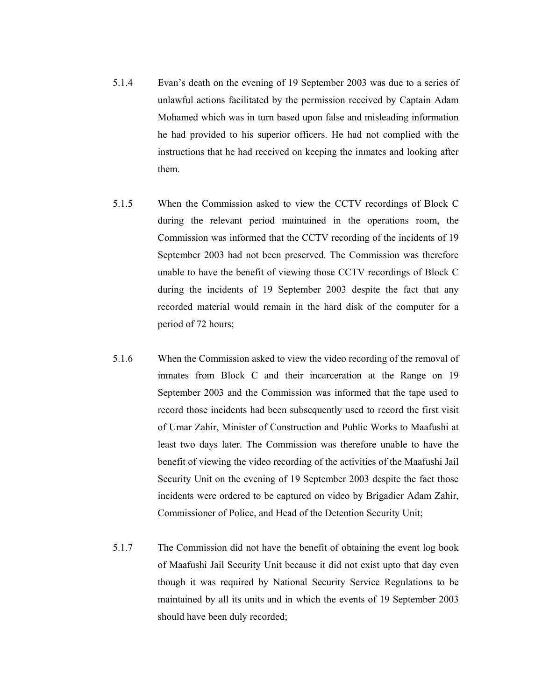- 5.1.4 Evan's death on the evening of 19 September 2003 was due to a series of unlawful actions facilitated by the permission received by Captain Adam Mohamed which was in turn based upon false and misleading information he had provided to his superior officers. He had not complied with the instructions that he had received on keeping the inmates and looking after them.
- 5.1.5 When the Commission asked to view the CCTV recordings of Block C during the relevant period maintained in the operations room, the Commission was informed that the CCTV recording of the incidents of 19 September 2003 had not been preserved. The Commission was therefore unable to have the benefit of viewing those CCTV recordings of Block C during the incidents of 19 September 2003 despite the fact that any recorded material would remain in the hard disk of the computer for a period of 72 hours;
- 5.1.6 When the Commission asked to view the video recording of the removal of inmates from Block C and their incarceration at the Range on 19 September 2003 and the Commission was informed that the tape used to record those incidents had been subsequently used to record the first visit of Umar Zahir, Minister of Construction and Public Works to Maafushi at least two days later. The Commission was therefore unable to have the benefit of viewing the video recording of the activities of the Maafushi Jail Security Unit on the evening of 19 September 2003 despite the fact those incidents were ordered to be captured on video by Brigadier Adam Zahir, Commissioner of Police, and Head of the Detention Security Unit;
- 5.1.7 The Commission did not have the benefit of obtaining the event log book of Maafushi Jail Security Unit because it did not exist upto that day even though it was required by National Security Service Regulations to be maintained by all its units and in which the events of 19 September 2003 should have been duly recorded;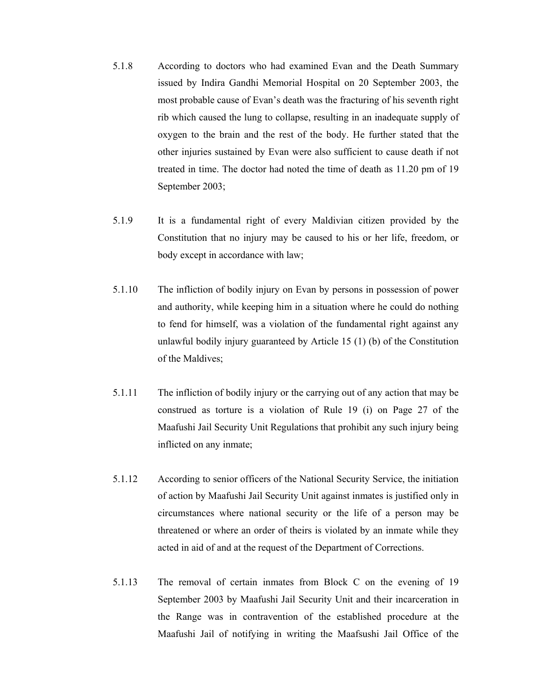- 5.1.8 According to doctors who had examined Evan and the Death Summary issued by Indira Gandhi Memorial Hospital on 20 September 2003, the most probable cause of Evan's death was the fracturing of his seventh right rib which caused the lung to collapse, resulting in an inadequate supply of oxygen to the brain and the rest of the body. He further stated that the other injuries sustained by Evan were also sufficient to cause death if not treated in time. The doctor had noted the time of death as 11.20 pm of 19 September 2003;
- 5.1.9 It is a fundamental right of every Maldivian citizen provided by the Constitution that no injury may be caused to his or her life, freedom, or body except in accordance with law;
- 5.1.10 The infliction of bodily injury on Evan by persons in possession of power and authority, while keeping him in a situation where he could do nothing to fend for himself, was a violation of the fundamental right against any unlawful bodily injury guaranteed by Article 15 (1) (b) of the Constitution of the Maldives;
- 5.1.11 The infliction of bodily injury or the carrying out of any action that may be construed as torture is a violation of Rule 19 (i) on Page 27 of the Maafushi Jail Security Unit Regulations that prohibit any such injury being inflicted on any inmate;
- 5.1.12 According to senior officers of the National Security Service, the initiation of action by Maafushi Jail Security Unit against inmates is justified only in circumstances where national security or the life of a person may be threatened or where an order of theirs is violated by an inmate while they acted in aid of and at the request of the Department of Corrections.
- 5.1.13 The removal of certain inmates from Block C on the evening of 19 September 2003 by Maafushi Jail Security Unit and their incarceration in the Range was in contravention of the established procedure at the Maafushi Jail of notifying in writing the Maafsushi Jail Office of the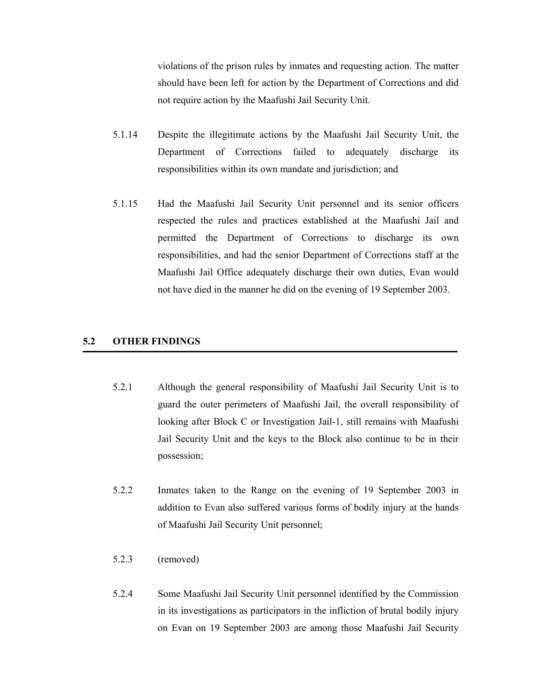violations of the prison rules by inmates and requesting action. The matter should have been left for action by the Department of Corrections and did not require action by the Maafushi Jail Security Unit.

- 5.1.14 Despite the illegitimate actions by the Maafushi Jail Security Unit, the Department of Corrections failed to adequately discharge its responsibilities within its own mandate and jurisdiction; and
- 5.1.15 Had the Maafushi Jail Security Unit personnel and its senior officers respected the rules and practices established at the Maafushi Jail and permitted the Department of Corrections to discharge its own responsibilities, and had the senior Department of Corrections staff at the Maafushi Jail Office adequately discharge their own duties, Evan would not have died in the manner he did on the evening of 19 September 2003.

### **5.2 OTHER FINDINGS**

- 5.2.1 Although the general responsibility of Maafushi Jail Security Unit is to guard the outer perimeters of Maafushi Jail, the overall responsibility of looking after Block C or Investigation Jail-1, still remains with Maafushi Jail Security Unit and the keys to the Block also continue to be in their possession;
- 5.2.2 Inmates taken to the Range on the evening of 19 September 2003 in addition to Evan also suffered various forms of bodily injury at the hands of Maafushi Jail Security Unit personnel;
- 5.2.3 (removed)
- 5.2.4 Some Maafushi Jail Security Unit personnel identified by the Commission in its investigations as participators in the infliction of brutal bodily injury on Evan on 19 September 2003 are among those Maafushi Jail Security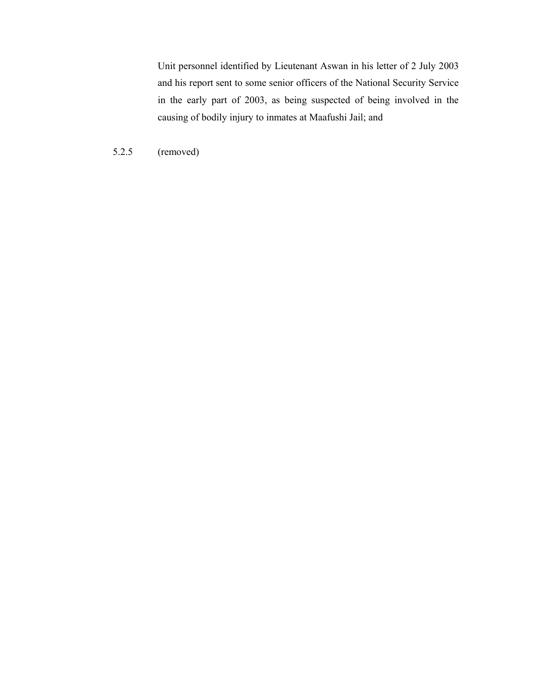Unit personnel identified by Lieutenant Aswan in his letter of 2 July 2003 and his report sent to some senior officers of the National Security Service in the early part of 2003, as being suspected of being involved in the causing of bodily injury to inmates at Maafushi Jail; and

5.2.5 (removed)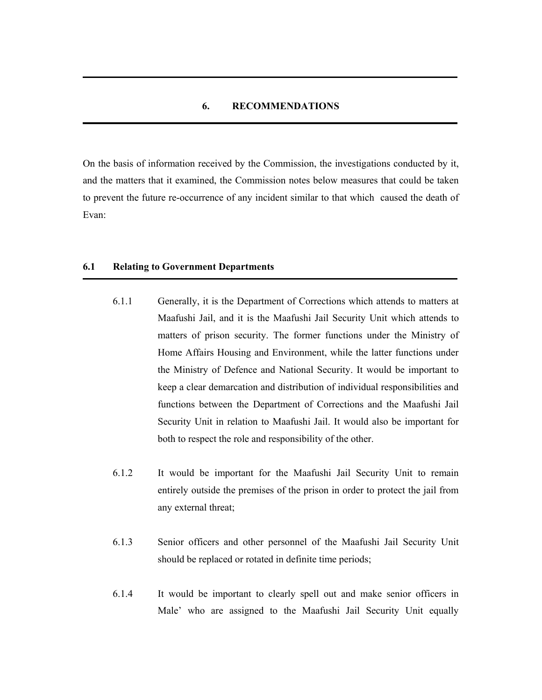### **6. RECOMMENDATIONS**

On the basis of information received by the Commission, the investigations conducted by it, and the matters that it examined, the Commission notes below measures that could be taken to prevent the future re-occurrence of any incident similar to that which caused the death of Evan:

#### **6.1 Relating to Government Departments**

- 6.1.1 Generally, it is the Department of Corrections which attends to matters at Maafushi Jail, and it is the Maafushi Jail Security Unit which attends to matters of prison security. The former functions under the Ministry of Home Affairs Housing and Environment, while the latter functions under the Ministry of Defence and National Security. It would be important to keep a clear demarcation and distribution of individual responsibilities and functions between the Department of Corrections and the Maafushi Jail Security Unit in relation to Maafushi Jail. It would also be important for both to respect the role and responsibility of the other.
- 6.1.2 It would be important for the Maafushi Jail Security Unit to remain entirely outside the premises of the prison in order to protect the jail from any external threat;
- 6.1.3 Senior officers and other personnel of the Maafushi Jail Security Unit should be replaced or rotated in definite time periods;
- 6.1.4 It would be important to clearly spell out and make senior officers in Male' who are assigned to the Maafushi Jail Security Unit equally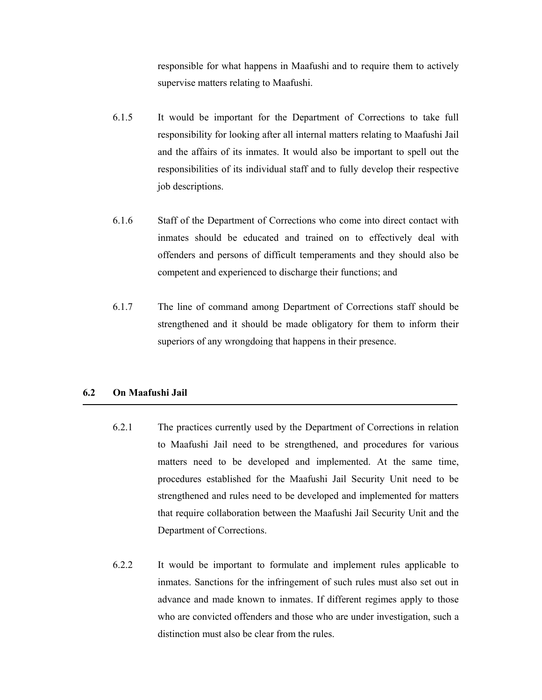responsible for what happens in Maafushi and to require them to actively supervise matters relating to Maafushi.

- 6.1.5 It would be important for the Department of Corrections to take full responsibility for looking after all internal matters relating to Maafushi Jail and the affairs of its inmates. It would also be important to spell out the responsibilities of its individual staff and to fully develop their respective job descriptions.
- 6.1.6 Staff of the Department of Corrections who come into direct contact with inmates should be educated and trained on to effectively deal with offenders and persons of difficult temperaments and they should also be competent and experienced to discharge their functions; and
- 6.1.7 The line of command among Department of Corrections staff should be strengthened and it should be made obligatory for them to inform their superiors of any wrongdoing that happens in their presence.

### **6.2 On Maafushi Jail**

- 6.2.1 The practices currently used by the Department of Corrections in relation to Maafushi Jail need to be strengthened, and procedures for various matters need to be developed and implemented. At the same time, procedures established for the Maafushi Jail Security Unit need to be strengthened and rules need to be developed and implemented for matters that require collaboration between the Maafushi Jail Security Unit and the Department of Corrections.
- 6.2.2 It would be important to formulate and implement rules applicable to inmates. Sanctions for the infringement of such rules must also set out in advance and made known to inmates. If different regimes apply to those who are convicted offenders and those who are under investigation, such a distinction must also be clear from the rules.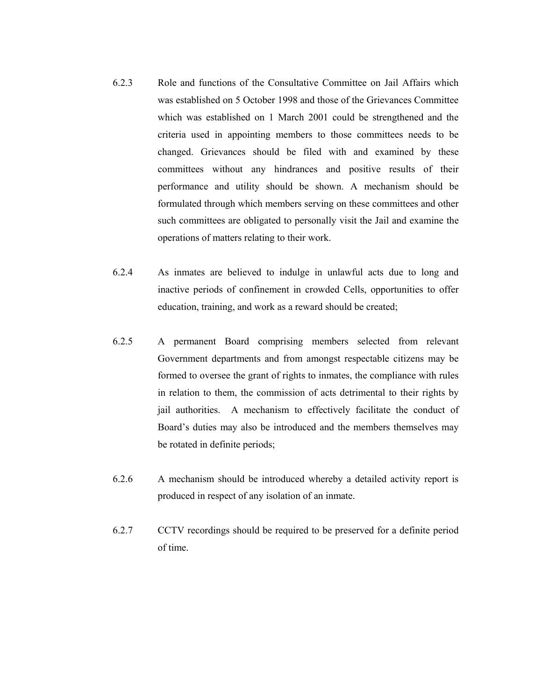- 6.2.3 Role and functions of the Consultative Committee on Jail Affairs which was established on 5 October 1998 and those of the Grievances Committee which was established on 1 March 2001 could be strengthened and the criteria used in appointing members to those committees needs to be changed. Grievances should be filed with and examined by these committees without any hindrances and positive results of their performance and utility should be shown. A mechanism should be formulated through which members serving on these committees and other such committees are obligated to personally visit the Jail and examine the operations of matters relating to their work.
- 6.2.4 As inmates are believed to indulge in unlawful acts due to long and inactive periods of confinement in crowded Cells, opportunities to offer education, training, and work as a reward should be created;
- 6.2.5 A permanent Board comprising members selected from relevant Government departments and from amongst respectable citizens may be formed to oversee the grant of rights to inmates, the compliance with rules in relation to them, the commission of acts detrimental to their rights by jail authorities. A mechanism to effectively facilitate the conduct of Board's duties may also be introduced and the members themselves may be rotated in definite periods;
- 6.2.6 A mechanism should be introduced whereby a detailed activity report is produced in respect of any isolation of an inmate.
- 6.2.7 CCTV recordings should be required to be preserved for a definite period of time.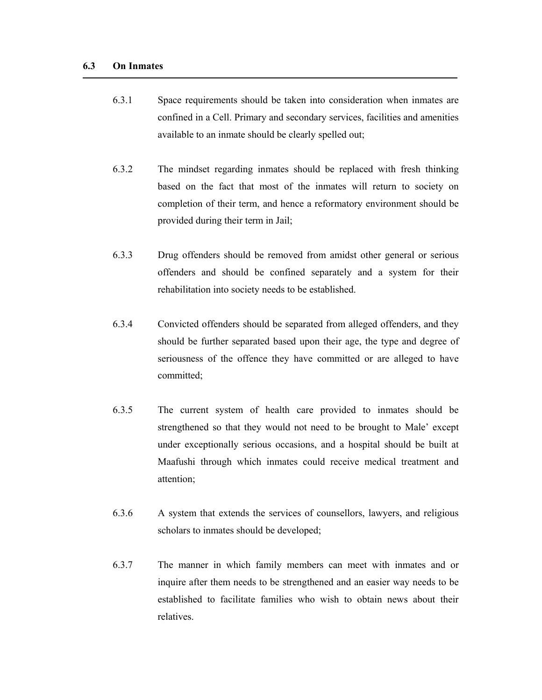- 6.3.1 Space requirements should be taken into consideration when inmates are confined in a Cell. Primary and secondary services, facilities and amenities available to an inmate should be clearly spelled out;
- 6.3.2 The mindset regarding inmates should be replaced with fresh thinking based on the fact that most of the inmates will return to society on completion of their term, and hence a reformatory environment should be provided during their term in Jail;
- 6.3.3 Drug offenders should be removed from amidst other general or serious offenders and should be confined separately and a system for their rehabilitation into society needs to be established.
- 6.3.4 Convicted offenders should be separated from alleged offenders, and they should be further separated based upon their age, the type and degree of seriousness of the offence they have committed or are alleged to have committed;
- 6.3.5 The current system of health care provided to inmates should be strengthened so that they would not need to be brought to Male' except under exceptionally serious occasions, and a hospital should be built at Maafushi through which inmates could receive medical treatment and attention;
- 6.3.6 A system that extends the services of counsellors, lawyers, and religious scholars to inmates should be developed;
- 6.3.7 The manner in which family members can meet with inmates and or inquire after them needs to be strengthened and an easier way needs to be established to facilitate families who wish to obtain news about their relatives.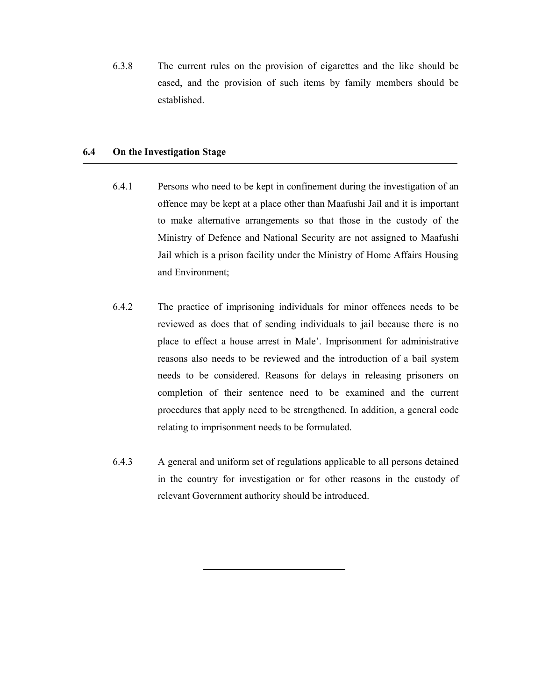6.3.8 The current rules on the provision of cigarettes and the like should be eased, and the provision of such items by family members should be established.

#### **6.4 On the Investigation Stage**

- 6.4.1 Persons who need to be kept in confinement during the investigation of an offence may be kept at a place other than Maafushi Jail and it is important to make alternative arrangements so that those in the custody of the Ministry of Defence and National Security are not assigned to Maafushi Jail which is a prison facility under the Ministry of Home Affairs Housing and Environment;
- 6.4.2 The practice of imprisoning individuals for minor offences needs to be reviewed as does that of sending individuals to jail because there is no place to effect a house arrest in Male'. Imprisonment for administrative reasons also needs to be reviewed and the introduction of a bail system needs to be considered. Reasons for delays in releasing prisoners on completion of their sentence need to be examined and the current procedures that apply need to be strengthened. In addition, a general code relating to imprisonment needs to be formulated.
- 6.4.3 A general and uniform set of regulations applicable to all persons detained in the country for investigation or for other reasons in the custody of relevant Government authority should be introduced.